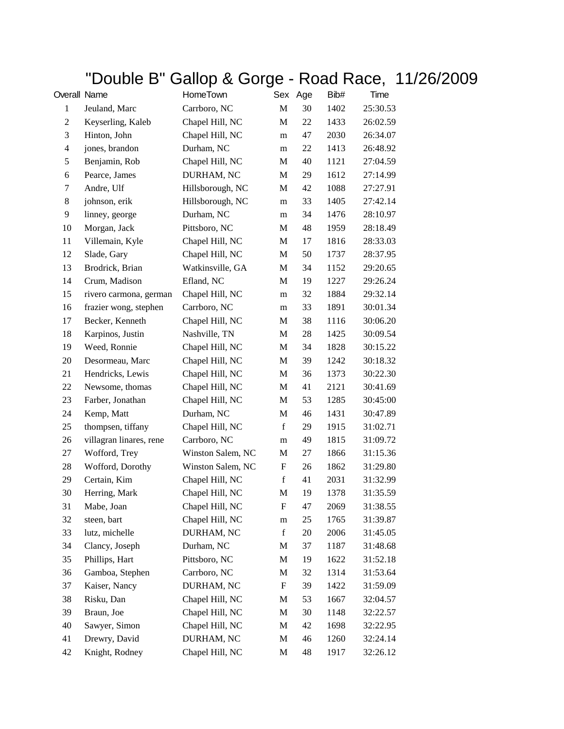## "Double B" Gallop & Gorge - Road Race, 11/26/2009

| Overall Name             |                         | HomeTown          | Sex                       | Age | Bib# | Time     |
|--------------------------|-------------------------|-------------------|---------------------------|-----|------|----------|
| $\mathbf{1}$             | Jeuland, Marc           | Carrboro, NC      | $\mathbf M$               | 30  | 1402 | 25:30.53 |
| 2                        | Keyserling, Kaleb       | Chapel Hill, NC   | M                         | 22  | 1433 | 26:02.59 |
| 3                        | Hinton, John            | Chapel Hill, NC   | m                         | 47  | 2030 | 26:34.07 |
| $\overline{\mathcal{L}}$ | jones, brandon          | Durham, NC        | m                         | 22  | 1413 | 26:48.92 |
| 5                        | Benjamin, Rob           | Chapel Hill, NC   | M                         | 40  | 1121 | 27:04.59 |
| 6                        | Pearce, James           | DURHAM, NC        | M                         | 29  | 1612 | 27:14.99 |
| 7                        | Andre, Ulf              | Hillsborough, NC  | M                         | 42  | 1088 | 27:27.91 |
| 8                        | johnson, erik           | Hillsborough, NC  | m                         | 33  | 1405 | 27:42.14 |
| 9                        | linney, george          | Durham, NC        | m                         | 34  | 1476 | 28:10.97 |
| 10                       | Morgan, Jack            | Pittsboro, NC     | M                         | 48  | 1959 | 28:18.49 |
| 11                       | Villemain, Kyle         | Chapel Hill, NC   | M                         | 17  | 1816 | 28:33.03 |
| 12                       | Slade, Gary             | Chapel Hill, NC   | M                         | 50  | 1737 | 28:37.95 |
| 13                       | Brodrick, Brian         | Watkinsville, GA  | $\mathbf M$               | 34  | 1152 | 29:20.65 |
| 14                       | Crum, Madison           | Efland, NC        | M                         | 19  | 1227 | 29:26.24 |
| 15                       | rivero carmona, german  | Chapel Hill, NC   | m                         | 32  | 1884 | 29:32.14 |
| 16                       | frazier wong, stephen   | Carrboro, NC      | m                         | 33  | 1891 | 30:01.34 |
| 17                       | Becker, Kenneth         | Chapel Hill, NC   | M                         | 38  | 1116 | 30:06.20 |
| 18                       | Karpinos, Justin        | Nashville, TN     | $\mathbf M$               | 28  | 1425 | 30:09.54 |
| 19                       | Weed, Ronnie            | Chapel Hill, NC   | M                         | 34  | 1828 | 30:15.22 |
| 20                       | Desormeau, Marc         | Chapel Hill, NC   | M                         | 39  | 1242 | 30:18.32 |
| 21                       | Hendricks, Lewis        | Chapel Hill, NC   | M                         | 36  | 1373 | 30:22.30 |
| 22                       | Newsome, thomas         | Chapel Hill, NC   | M                         | 41  | 2121 | 30:41.69 |
| 23                       | Farber, Jonathan        | Chapel Hill, NC   | M                         | 53  | 1285 | 30:45:00 |
| 24                       | Kemp, Matt              | Durham, NC        | M                         | 46  | 1431 | 30:47.89 |
| 25                       | thompsen, tiffany       | Chapel Hill, NC   | $\mathbf f$               | 29  | 1915 | 31:02.71 |
| 26                       | villagran linares, rene | Carrboro, NC      | m                         | 49  | 1815 | 31:09.72 |
| 27                       | Wofford, Trey           | Winston Salem, NC | M                         | 27  | 1866 | 31:15.36 |
| 28                       | Wofford, Dorothy        | Winston Salem, NC | $\boldsymbol{\mathrm{F}}$ | 26  | 1862 | 31:29.80 |
| 29                       | Certain, Kim            | Chapel Hill, NC   | $\mathbf f$               | 41  | 2031 | 31:32.99 |
| 30                       | Herring, Mark           | Chapel Hill, NC   | M                         | 19  | 1378 | 31:35.59 |
| 31                       | Mabe, Joan              | Chapel Hill, NC   | F                         | 47  | 2069 | 31:38.55 |
| 32                       | steen, bart             | Chapel Hill, NC   | ${\rm m}$                 | 25  | 1765 | 31:39.87 |
| 33                       | lutz, michelle          | DURHAM, NC        | $\mathbf f$               | 20  | 2006 | 31:45.05 |
| 34                       | Clancy, Joseph          | Durham, NC        | M                         | 37  | 1187 | 31:48.68 |
| 35                       | Phillips, Hart          | Pittsboro, NC     | M                         | 19  | 1622 | 31:52.18 |
| 36                       | Gamboa, Stephen         | Carrboro, NC      | M                         | 32  | 1314 | 31:53.64 |
| 37                       | Kaiser, Nancy           | DURHAM, NC        | $\boldsymbol{\mathrm{F}}$ | 39  | 1422 | 31:59.09 |
| 38                       | Risku, Dan              | Chapel Hill, NC   | M                         | 53  | 1667 | 32:04.57 |
| 39                       | Braun, Joe              | Chapel Hill, NC   | M                         | 30  | 1148 | 32:22.57 |
| 40                       | Sawyer, Simon           | Chapel Hill, NC   | M                         | 42  | 1698 | 32:22.95 |
| 41                       | Drewry, David           | DURHAM, NC        | M                         | 46  | 1260 | 32:24.14 |
| 42                       | Knight, Rodney          | Chapel Hill, NC   | M                         | 48  | 1917 | 32:26.12 |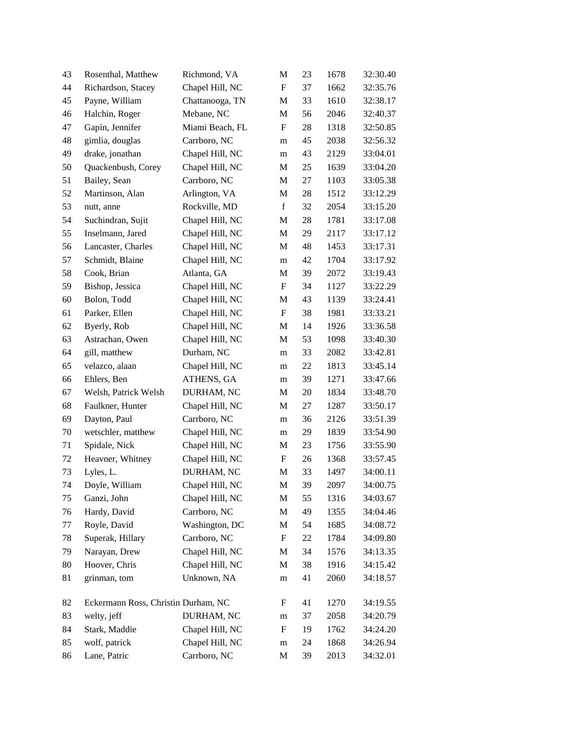| 43 | Rosenthal, Matthew                  | Richmond, VA    | M                         | 23 | 1678 | 32:30.40 |
|----|-------------------------------------|-----------------|---------------------------|----|------|----------|
| 44 | Richardson, Stacey                  | Chapel Hill, NC | $\boldsymbol{\mathrm{F}}$ | 37 | 1662 | 32:35.76 |
| 45 | Payne, William                      | Chattanooga, TN | M                         | 33 | 1610 | 32:38.17 |
| 46 | Halchin, Roger                      | Mebane, NC      | M                         | 56 | 2046 | 32:40.37 |
| 47 | Gapin, Jennifer                     | Miami Beach, FL | F                         | 28 | 1318 | 32:50.85 |
| 48 | gimlia, douglas                     | Carrboro, NC    | m                         | 45 | 2038 | 32:56.32 |
| 49 | drake, jonathan                     | Chapel Hill, NC | m                         | 43 | 2129 | 33:04.01 |
| 50 | Quackenbush, Corey                  | Chapel Hill, NC | M                         | 25 | 1639 | 33:04.20 |
| 51 | Bailey, Sean                        | Carrboro, NC    | M                         | 27 | 1103 | 33:05.38 |
| 52 | Martinson, Alan                     | Arlington, VA   | M                         | 28 | 1512 | 33:12.29 |
| 53 | nutt, anne                          | Rockville, MD   | $\mathbf f$               | 32 | 2054 | 33:15.20 |
| 54 | Suchindran, Sujit                   | Chapel Hill, NC | M                         | 28 | 1781 | 33:17.08 |
| 55 | Inselmann, Jared                    | Chapel Hill, NC | $\mathbf M$               | 29 | 2117 | 33:17.12 |
| 56 | Lancaster, Charles                  | Chapel Hill, NC | M                         | 48 | 1453 | 33:17.31 |
| 57 | Schmidt, Blaine                     | Chapel Hill, NC | m                         | 42 | 1704 | 33:17.92 |
| 58 | Cook, Brian                         | Atlanta, GA     | M                         | 39 | 2072 | 33:19.43 |
| 59 | Bishop, Jessica                     | Chapel Hill, NC | F                         | 34 | 1127 | 33:22.29 |
| 60 | Bolon, Todd                         | Chapel Hill, NC | M                         | 43 | 1139 | 33:24.41 |
| 61 | Parker, Ellen                       | Chapel Hill, NC | F                         | 38 | 1981 | 33:33.21 |
| 62 | Byerly, Rob                         | Chapel Hill, NC | M                         | 14 | 1926 | 33:36.58 |
| 63 | Astrachan, Owen                     | Chapel Hill, NC | M                         | 53 | 1098 | 33:40.30 |
| 64 | gill, matthew                       | Durham, NC      | m                         | 33 | 2082 | 33:42.81 |
| 65 | velazco, alaan                      | Chapel Hill, NC | m                         | 22 | 1813 | 33:45.14 |
| 66 | Ehlers, Ben                         | ATHENS, GA      | m                         | 39 | 1271 | 33:47.66 |
| 67 | Welsh, Patrick Welsh                | DURHAM, NC      | M                         | 20 | 1834 | 33:48.70 |
| 68 | Faulkner, Hunter                    | Chapel Hill, NC | M                         | 27 | 1287 | 33:50.17 |
| 69 | Dayton, Paul                        | Carrboro, NC    | m                         | 36 | 2126 | 33:51.39 |
| 70 | wetschler, matthew                  | Chapel Hill, NC | m                         | 29 | 1839 | 33:54.90 |
| 71 | Spidale, Nick                       | Chapel Hill, NC | M                         | 23 | 1756 | 33:55.90 |
| 72 | Heavner, Whitney                    | Chapel Hill, NC | $\boldsymbol{\mathrm{F}}$ | 26 | 1368 | 33:57.45 |
| 73 | Lyles, L.                           | DURHAM, NC      | M                         | 33 | 1497 | 34:00.11 |
| 74 | Doyle, William                      | Chapel Hill, NC | M                         | 39 | 2097 | 34:00.75 |
| 75 | Ganzi, John                         | Chapel Hill, NC | $\mathbf M$               | 55 | 1316 | 34:03.67 |
| 76 | Hardy, David                        | Carrboro, NC    | M                         | 49 | 1355 | 34:04.46 |
| 77 | Royle, David                        | Washington, DC  | M                         | 54 | 1685 | 34:08.72 |
| 78 | Superak, Hillary                    | Carrboro, NC    | ${\bf F}$                 | 22 | 1784 | 34:09.80 |
| 79 | Narayan, Drew                       | Chapel Hill, NC | M                         | 34 | 1576 | 34:13.35 |
| 80 | Hoover, Chris                       | Chapel Hill, NC | M                         | 38 | 1916 | 34:15.42 |
| 81 | grinman, tom                        | Unknown, NA     | m                         | 41 | 2060 | 34:18.57 |
| 82 | Eckermann Ross, Christin Durham, NC |                 | F                         | 41 | 1270 | 34:19.55 |
| 83 | welty, jeff                         | DURHAM, NC      | m                         | 37 | 2058 | 34:20.79 |
| 84 | Stark, Maddie                       | Chapel Hill, NC | $\boldsymbol{\mathrm{F}}$ | 19 | 1762 | 34:24.20 |
| 85 | wolf, patrick                       | Chapel Hill, NC | m                         | 24 | 1868 | 34:26.94 |
| 86 | Lane, Patric                        | Carrboro, NC    | M                         | 39 | 2013 | 34:32.01 |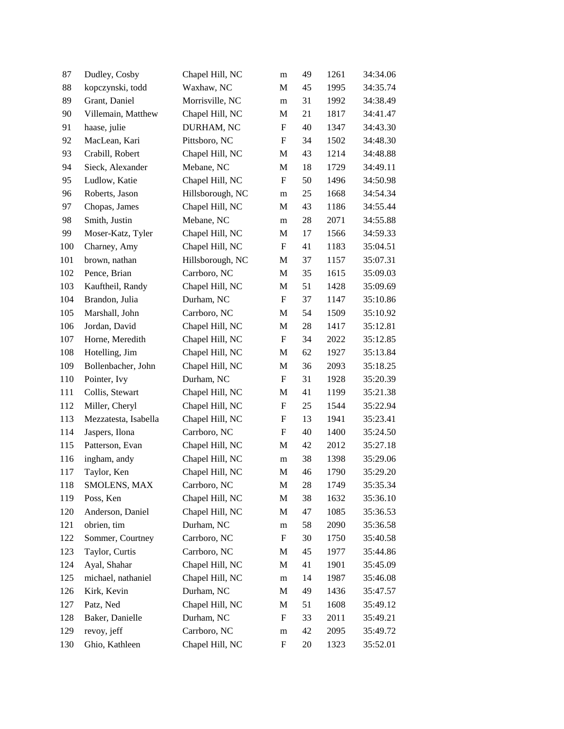| 87  | Dudley, Cosby        | Chapel Hill, NC  | m                         | 49 | 1261 | 34:34.06 |
|-----|----------------------|------------------|---------------------------|----|------|----------|
| 88  | kopczynski, todd     | Waxhaw, NC       | M                         | 45 | 1995 | 34:35.74 |
| 89  | Grant, Daniel        | Morrisville, NC  | m                         | 31 | 1992 | 34:38.49 |
| 90  | Villemain, Matthew   | Chapel Hill, NC  | M                         | 21 | 1817 | 34:41.47 |
| 91  | haase, julie         | DURHAM, NC       | $\boldsymbol{\mathrm{F}}$ | 40 | 1347 | 34:43.30 |
| 92  | MacLean, Kari        | Pittsboro, NC    | $\boldsymbol{\mathrm{F}}$ | 34 | 1502 | 34:48.30 |
| 93  | Crabill, Robert      | Chapel Hill, NC  | M                         | 43 | 1214 | 34:48.88 |
| 94  | Sieck, Alexander     | Mebane, NC       | M                         | 18 | 1729 | 34:49.11 |
| 95  | Ludlow, Katie        | Chapel Hill, NC  | F                         | 50 | 1496 | 34:50.98 |
| 96  | Roberts, Jason       | Hillsborough, NC | m                         | 25 | 1668 | 34:54.34 |
| 97  | Chopas, James        | Chapel Hill, NC  | M                         | 43 | 1186 | 34:55.44 |
| 98  | Smith, Justin        | Mebane, NC       | m                         | 28 | 2071 | 34:55.88 |
| 99  | Moser-Katz, Tyler    | Chapel Hill, NC  | M                         | 17 | 1566 | 34:59.33 |
| 100 | Charney, Amy         | Chapel Hill, NC  | F                         | 41 | 1183 | 35:04.51 |
| 101 | brown, nathan        | Hillsborough, NC | M                         | 37 | 1157 | 35:07.31 |
| 102 | Pence, Brian         | Carrboro, NC     | M                         | 35 | 1615 | 35:09.03 |
| 103 | Kauftheil, Randy     | Chapel Hill, NC  | M                         | 51 | 1428 | 35:09.69 |
| 104 | Brandon, Julia       | Durham, NC       | $\boldsymbol{\mathrm{F}}$ | 37 | 1147 | 35:10.86 |
| 105 | Marshall, John       | Carrboro, NC     | M                         | 54 | 1509 | 35:10.92 |
| 106 | Jordan, David        | Chapel Hill, NC  | M                         | 28 | 1417 | 35:12.81 |
| 107 | Horne, Meredith      | Chapel Hill, NC  | $\mathbf F$               | 34 | 2022 | 35:12.85 |
| 108 | Hotelling, Jim       | Chapel Hill, NC  | M                         | 62 | 1927 | 35:13.84 |
| 109 | Bollenbacher, John   | Chapel Hill, NC  | M                         | 36 | 2093 | 35:18.25 |
| 110 | Pointer, Ivy         | Durham, NC       | F                         | 31 | 1928 | 35:20.39 |
| 111 | Collis, Stewart      | Chapel Hill, NC  | M                         | 41 | 1199 | 35:21.38 |
| 112 | Miller, Cheryl       | Chapel Hill, NC  | $\boldsymbol{\mathrm{F}}$ | 25 | 1544 | 35:22.94 |
| 113 | Mezzatesta, Isabella | Chapel Hill, NC  | F                         | 13 | 1941 | 35:23.41 |
| 114 | Jaspers, Ilona       | Carrboro, NC     | $\boldsymbol{\mathrm{F}}$ | 40 | 1400 | 35:24.50 |
| 115 | Patterson, Evan      | Chapel Hill, NC  | M                         | 42 | 2012 | 35:27.18 |
| 116 | ingham, andy         | Chapel Hill, NC  | m                         | 38 | 1398 | 35:29.06 |
| 117 | Taylor, Ken          | Chapel Hill, NC  | M                         | 46 | 1790 | 35:29.20 |
| 118 | SMOLENS, MAX         | Carrboro, NC     | M                         | 28 | 1749 | 35:35.34 |
| 119 | Poss, Ken            | Chapel Hill, NC  | M                         | 38 | 1632 | 35:36.10 |
| 120 | Anderson, Daniel     | Chapel Hill, NC  | M                         | 47 | 1085 | 35:36.53 |
| 121 | obrien, tim          | Durham, NC       | m                         | 58 | 2090 | 35:36.58 |
| 122 | Sommer, Courtney     | Carrboro, NC     | $\boldsymbol{\mathrm{F}}$ | 30 | 1750 | 35:40.58 |
| 123 | Taylor, Curtis       | Carrboro, NC     | M                         | 45 | 1977 | 35:44.86 |
| 124 | Ayal, Shahar         | Chapel Hill, NC  | M                         | 41 | 1901 | 35:45.09 |
| 125 | michael, nathaniel   | Chapel Hill, NC  | m                         | 14 | 1987 | 35:46.08 |
| 126 | Kirk, Kevin          | Durham, NC       | M                         | 49 | 1436 | 35:47.57 |
| 127 | Patz, Ned            | Chapel Hill, NC  | M                         | 51 | 1608 | 35:49.12 |
| 128 | Baker, Danielle      | Durham, NC       | ${\rm F}$                 | 33 | 2011 | 35:49.21 |
| 129 | revoy, jeff          | Carrboro, NC     | ${\rm m}$                 | 42 | 2095 | 35:49.72 |
| 130 | Ghio, Kathleen       | Chapel Hill, NC  | F                         | 20 | 1323 | 35:52.01 |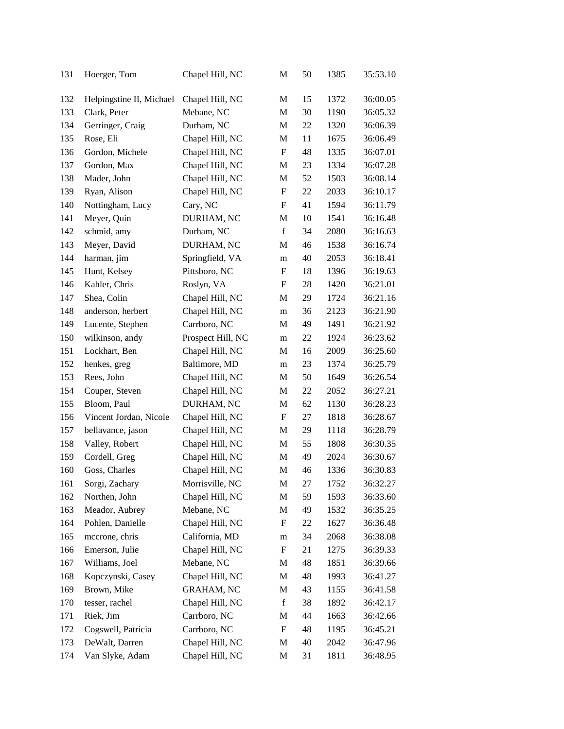| 131 | Hoerger, Tom             | Chapel Hill, NC   | M                         | 50 | 1385 | 35:53.10 |
|-----|--------------------------|-------------------|---------------------------|----|------|----------|
| 132 | Helpingstine II, Michael | Chapel Hill, NC   | M                         | 15 | 1372 | 36:00.05 |
| 133 | Clark, Peter             | Mebane, NC        | M                         | 30 | 1190 | 36:05.32 |
| 134 | Gerringer, Craig         | Durham, NC        | M                         | 22 | 1320 | 36:06.39 |
| 135 | Rose, Eli                | Chapel Hill, NC   | M                         | 11 | 1675 | 36:06.49 |
| 136 | Gordon, Michele          | Chapel Hill, NC   | $\boldsymbol{\mathrm{F}}$ | 48 | 1335 | 36:07.01 |
| 137 | Gordon, Max              | Chapel Hill, NC   | M                         | 23 | 1334 | 36:07.28 |
| 138 | Mader, John              | Chapel Hill, NC   | M                         | 52 | 1503 | 36:08.14 |
| 139 | Ryan, Alison             | Chapel Hill, NC   | F                         | 22 | 2033 | 36:10.17 |
| 140 | Nottingham, Lucy         | Cary, NC          | F                         | 41 | 1594 | 36:11.79 |
| 141 | Meyer, Quin              | DURHAM, NC        | M                         | 10 | 1541 | 36:16.48 |
| 142 | schmid, amy              | Durham, NC        | $\mathbf f$               | 34 | 2080 | 36:16.63 |
| 143 | Meyer, David             | DURHAM, NC        | M                         | 46 | 1538 | 36:16.74 |
| 144 | harman, jim              | Springfield, VA   | m                         | 40 | 2053 | 36:18.41 |
| 145 | Hunt, Kelsey             | Pittsboro, NC     | F                         | 18 | 1396 | 36:19.63 |
| 146 | Kahler, Chris            | Roslyn, VA        | F                         | 28 | 1420 | 36:21.01 |
| 147 | Shea, Colin              | Chapel Hill, NC   | М                         | 29 | 1724 | 36:21.16 |
| 148 | anderson, herbert        | Chapel Hill, NC   | m                         | 36 | 2123 | 36:21.90 |
| 149 | Lucente, Stephen         | Carrboro, NC      | M                         | 49 | 1491 | 36:21.92 |
| 150 | wilkinson, andy          | Prospect Hill, NC | m                         | 22 | 1924 | 36:23.62 |
| 151 | Lockhart, Ben            | Chapel Hill, NC   | M                         | 16 | 2009 | 36:25.60 |
| 152 | henkes, greg             | Baltimore, MD     | m                         | 23 | 1374 | 36:25.79 |
| 153 | Rees, John               | Chapel Hill, NC   | M                         | 50 | 1649 | 36:26.54 |
| 154 | Couper, Steven           | Chapel Hill, NC   | M                         | 22 | 2052 | 36:27.21 |
| 155 | Bloom, Paul              | DURHAM, NC        | M                         | 62 | 1130 | 36:28.23 |
| 156 | Vincent Jordan, Nicole   | Chapel Hill, NC   | $\boldsymbol{\mathrm{F}}$ | 27 | 1818 | 36:28.67 |
| 157 | bellavance, jason        | Chapel Hill, NC   | М                         | 29 | 1118 | 36:28.79 |
| 158 | Valley, Robert           | Chapel Hill, NC   | M                         | 55 | 1808 | 36:30.35 |
| 159 | Cordell, Greg            | Chapel Hill, NC   | M                         | 49 | 2024 | 36:30.67 |
| 160 | Goss, Charles            | Chapel Hill, NC   | M                         | 46 | 1336 | 36:30.83 |
| 161 | Sorgi, Zachary           | Morrisville, NC   | M                         | 27 | 1752 | 36:32.27 |
| 162 | Northen, John            | Chapel Hill, NC   | M                         | 59 | 1593 | 36:33.60 |
| 163 | Meador, Aubrey           | Mebane, NC        | M                         | 49 | 1532 | 36:35.25 |
| 164 | Pohlen, Danielle         | Chapel Hill, NC   | ${\rm F}$                 | 22 | 1627 | 36:36.48 |
| 165 | mecrone, chris           | California, MD    | m                         | 34 | 2068 | 36:38.08 |
| 166 | Emerson, Julie           | Chapel Hill, NC   | $\boldsymbol{\mathrm{F}}$ | 21 | 1275 | 36:39.33 |
| 167 | Williams, Joel           | Mebane, NC        | M                         | 48 | 1851 | 36:39.66 |
| 168 | Kopczynski, Casey        | Chapel Hill, NC   | M                         | 48 | 1993 | 36:41.27 |
| 169 | Brown, Mike              | <b>GRAHAM, NC</b> | M                         | 43 | 1155 | 36:41.58 |
| 170 | tesser, rachel           | Chapel Hill, NC   | $\mathbf f$               | 38 | 1892 | 36:42.17 |
| 171 | Riek, Jim                | Carrboro, NC      | M                         | 44 | 1663 | 36:42.66 |
| 172 | Cogswell, Patricia       | Carrboro, NC      | F                         | 48 | 1195 | 36:45.21 |
| 173 | DeWalt, Darren           | Chapel Hill, NC   | M                         | 40 | 2042 | 36:47.96 |
| 174 | Van Slyke, Adam          | Chapel Hill, NC   | M                         | 31 | 1811 | 36:48.95 |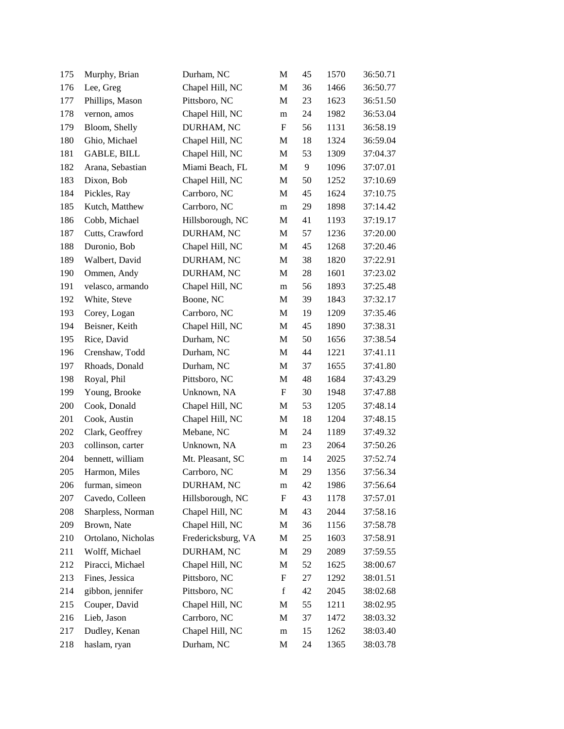| 175 | Murphy, Brian      | Durham, NC         | M                         | 45 | 1570 | 36:50.71 |
|-----|--------------------|--------------------|---------------------------|----|------|----------|
| 176 | Lee, Greg          | Chapel Hill, NC    | M                         | 36 | 1466 | 36:50.77 |
| 177 | Phillips, Mason    | Pittsboro, NC      | M                         | 23 | 1623 | 36:51.50 |
| 178 | vernon, amos       | Chapel Hill, NC    | m                         | 24 | 1982 | 36:53.04 |
| 179 | Bloom, Shelly      | DURHAM, NC         | F                         | 56 | 1131 | 36:58.19 |
| 180 | Ghio, Michael      | Chapel Hill, NC    | M                         | 18 | 1324 | 36:59.04 |
| 181 | GABLE, BILL        | Chapel Hill, NC    | M                         | 53 | 1309 | 37:04.37 |
| 182 | Arana, Sebastian   | Miami Beach, FL    | M                         | 9  | 1096 | 37:07.01 |
| 183 | Dixon, Bob         | Chapel Hill, NC    | M                         | 50 | 1252 | 37:10.69 |
| 184 | Pickles, Ray       | Carrboro, NC       | M                         | 45 | 1624 | 37:10.75 |
| 185 | Kutch, Matthew     | Carrboro, NC       | m                         | 29 | 1898 | 37:14.42 |
| 186 | Cobb, Michael      | Hillsborough, NC   | M                         | 41 | 1193 | 37:19.17 |
| 187 | Cutts, Crawford    | DURHAM, NC         | M                         | 57 | 1236 | 37:20.00 |
| 188 | Duronio, Bob       | Chapel Hill, NC    | M                         | 45 | 1268 | 37:20.46 |
| 189 | Walbert, David     | DURHAM, NC         | M                         | 38 | 1820 | 37:22.91 |
| 190 | Ommen, Andy        | DURHAM, NC         | M                         | 28 | 1601 | 37:23.02 |
| 191 | velasco, armando   | Chapel Hill, NC    | m                         | 56 | 1893 | 37:25.48 |
| 192 | White, Steve       | Boone, NC          | M                         | 39 | 1843 | 37:32.17 |
| 193 | Corey, Logan       | Carrboro, NC       | M                         | 19 | 1209 | 37:35.46 |
| 194 | Beisner, Keith     | Chapel Hill, NC    | M                         | 45 | 1890 | 37:38.31 |
| 195 | Rice, David        | Durham, NC         | M                         | 50 | 1656 | 37:38.54 |
| 196 | Crenshaw, Todd     | Durham, NC         | M                         | 44 | 1221 | 37:41.11 |
| 197 | Rhoads, Donald     | Durham, NC         | M                         | 37 | 1655 | 37:41.80 |
| 198 | Royal, Phil        | Pittsboro, NC      | M                         | 48 | 1684 | 37:43.29 |
| 199 | Young, Brooke      | Unknown, NA        | $\boldsymbol{\mathrm{F}}$ | 30 | 1948 | 37:47.88 |
| 200 | Cook, Donald       | Chapel Hill, NC    | M                         | 53 | 1205 | 37:48.14 |
| 201 | Cook, Austin       | Chapel Hill, NC    | M                         | 18 | 1204 | 37:48.15 |
| 202 | Clark, Geoffrey    | Mebane, NC         | M                         | 24 | 1189 | 37:49.32 |
| 203 | collinson, carter  | Unknown, NA        | m                         | 23 | 2064 | 37:50.26 |
| 204 | bennett, william   | Mt. Pleasant, SC   | m                         | 14 | 2025 | 37:52.74 |
| 205 | Harmon, Miles      | Carrboro, NC       | M                         | 29 | 1356 | 37:56.34 |
| 206 | furman, simeon     | DURHAM, NC         | m                         | 42 | 1986 | 37:56.64 |
| 207 | Cavedo, Colleen    | Hillsborough, NC   | ${\bf F}$                 | 43 | 1178 | 37:57.01 |
| 208 | Sharpless, Norman  | Chapel Hill, NC    | M                         | 43 | 2044 | 37:58.16 |
| 209 | Brown, Nate        | Chapel Hill, NC    | M                         | 36 | 1156 | 37:58.78 |
| 210 | Ortolano, Nicholas | Fredericksburg, VA | M                         | 25 | 1603 | 37:58.91 |
| 211 | Wolff, Michael     | DURHAM, NC         | M                         | 29 | 2089 | 37:59.55 |
| 212 | Piracci, Michael   | Chapel Hill, NC    | M                         | 52 | 1625 | 38:00.67 |
| 213 | Fines, Jessica     | Pittsboro, NC      | ${\rm F}$                 | 27 | 1292 | 38:01.51 |
| 214 | gibbon, jennifer   | Pittsboro, NC      | f                         | 42 | 2045 | 38:02.68 |
| 215 | Couper, David      | Chapel Hill, NC    | M                         | 55 | 1211 | 38:02.95 |
| 216 | Lieb, Jason        | Carrboro, NC       | M                         | 37 | 1472 | 38:03.32 |
| 217 | Dudley, Kenan      | Chapel Hill, NC    | m                         | 15 | 1262 | 38:03.40 |
| 218 | haslam, ryan       | Durham, NC         | M                         | 24 | 1365 | 38:03.78 |
|     |                    |                    |                           |    |      |          |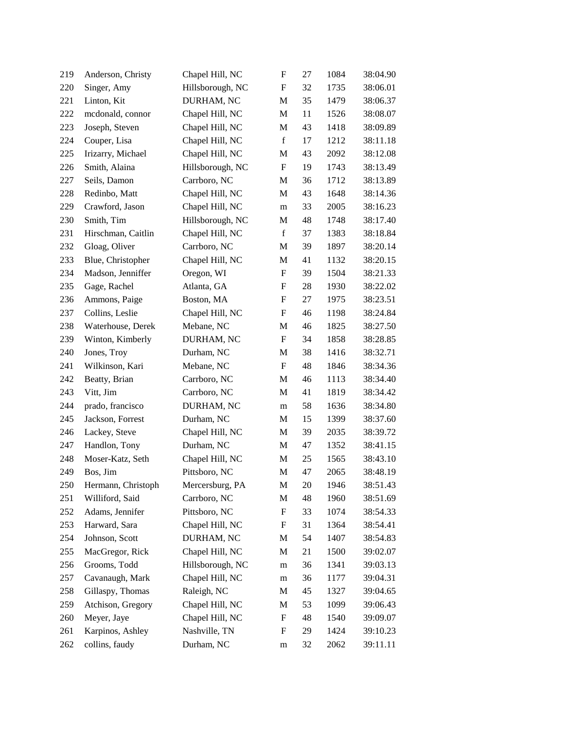| 219 | Anderson, Christy  | Chapel Hill, NC  | $\boldsymbol{\mathrm{F}}$ | 27 | 1084 | 38:04.90 |
|-----|--------------------|------------------|---------------------------|----|------|----------|
| 220 | Singer, Amy        | Hillsborough, NC | F                         | 32 | 1735 | 38:06.01 |
| 221 | Linton, Kit        | DURHAM, NC       | M                         | 35 | 1479 | 38:06.37 |
| 222 | mcdonald, connor   | Chapel Hill, NC  | M                         | 11 | 1526 | 38:08.07 |
| 223 | Joseph, Steven     | Chapel Hill, NC  | M                         | 43 | 1418 | 38:09.89 |
| 224 | Couper, Lisa       | Chapel Hill, NC  | $\mathbf f$               | 17 | 1212 | 38:11.18 |
| 225 | Irizarry, Michael  | Chapel Hill, NC  | M                         | 43 | 2092 | 38:12.08 |
| 226 | Smith, Alaina      | Hillsborough, NC | $\boldsymbol{\mathrm{F}}$ | 19 | 1743 | 38:13.49 |
| 227 | Seils, Damon       | Carrboro, NC     | M                         | 36 | 1712 | 38:13.89 |
| 228 | Redinbo, Matt      | Chapel Hill, NC  | M                         | 43 | 1648 | 38:14.36 |
| 229 | Crawford, Jason    | Chapel Hill, NC  | m                         | 33 | 2005 | 38:16.23 |
| 230 | Smith, Tim         | Hillsborough, NC | M                         | 48 | 1748 | 38:17.40 |
| 231 | Hirschman, Caitlin | Chapel Hill, NC  | $\mathbf f$               | 37 | 1383 | 38:18.84 |
| 232 | Gloag, Oliver      | Carrboro, NC     | M                         | 39 | 1897 | 38:20.14 |
| 233 | Blue, Christopher  | Chapel Hill, NC  | M                         | 41 | 1132 | 38:20.15 |
| 234 | Madson, Jenniffer  | Oregon, WI       | $\boldsymbol{\mathrm{F}}$ | 39 | 1504 | 38:21.33 |
| 235 | Gage, Rachel       | Atlanta, GA      | F                         | 28 | 1930 | 38:22.02 |
| 236 | Ammons, Paige      | Boston, MA       | ${\bf F}$                 | 27 | 1975 | 38:23.51 |
| 237 | Collins, Leslie    | Chapel Hill, NC  | F                         | 46 | 1198 | 38:24.84 |
| 238 | Waterhouse, Derek  | Mebane, NC       | M                         | 46 | 1825 | 38:27.50 |
| 239 | Winton, Kimberly   | DURHAM, NC       | $\boldsymbol{\mathrm{F}}$ | 34 | 1858 | 38:28.85 |
| 240 | Jones, Troy        | Durham, NC       | M                         | 38 | 1416 | 38:32.71 |
| 241 | Wilkinson, Kari    | Mebane, NC       | $\boldsymbol{\mathrm{F}}$ | 48 | 1846 | 38:34.36 |
| 242 | Beatty, Brian      | Carrboro, NC     | M                         | 46 | 1113 | 38:34.40 |
| 243 | Vitt, Jim          | Carrboro, NC     | M                         | 41 | 1819 | 38:34.42 |
| 244 | prado, francisco   | DURHAM, NC       | m                         | 58 | 1636 | 38:34.80 |
| 245 | Jackson, Forrest   | Durham, NC       | $\mathbf M$               | 15 | 1399 | 38:37.60 |
| 246 | Lackey, Steve      | Chapel Hill, NC  | M                         | 39 | 2035 | 38:39.72 |
| 247 | Handlon, Tony      | Durham, NC       | M                         | 47 | 1352 | 38:41.15 |
| 248 | Moser-Katz, Seth   | Chapel Hill, NC  | M                         | 25 | 1565 | 38:43.10 |
| 249 | Bos, Jim           | Pittsboro, NC    | M                         | 47 | 2065 | 38:48.19 |
| 250 | Hermann, Christoph | Mercersburg, PA  | M                         | 20 | 1946 | 38:51.43 |
| 251 | Williford, Said    | Carrboro, NC     | M                         | 48 | 1960 | 38:51.69 |
| 252 | Adams, Jennifer    | Pittsboro, NC    | ${\rm F}$                 | 33 | 1074 | 38:54.33 |
| 253 | Harward, Sara      | Chapel Hill, NC  | ${\rm F}$                 | 31 | 1364 | 38:54.41 |
| 254 | Johnson, Scott     | DURHAM, NC       | M                         | 54 | 1407 | 38:54.83 |
| 255 | MacGregor, Rick    | Chapel Hill, NC  | M                         | 21 | 1500 | 39:02.07 |
| 256 | Grooms, Todd       | Hillsborough, NC | m                         | 36 | 1341 | 39:03.13 |
| 257 | Cavanaugh, Mark    | Chapel Hill, NC  | m                         | 36 | 1177 | 39:04.31 |
| 258 | Gillaspy, Thomas   | Raleigh, NC      | M                         | 45 | 1327 | 39:04.65 |
| 259 | Atchison, Gregory  | Chapel Hill, NC  | M                         | 53 | 1099 | 39:06.43 |
| 260 | Meyer, Jaye        | Chapel Hill, NC  | $\boldsymbol{F}$          | 48 | 1540 | 39:09.07 |
| 261 | Karpinos, Ashley   | Nashville, TN    | $\boldsymbol{\mathrm{F}}$ | 29 | 1424 | 39:10.23 |
| 262 | collins, faudy     | Durham, NC       | m                         | 32 | 2062 | 39:11.11 |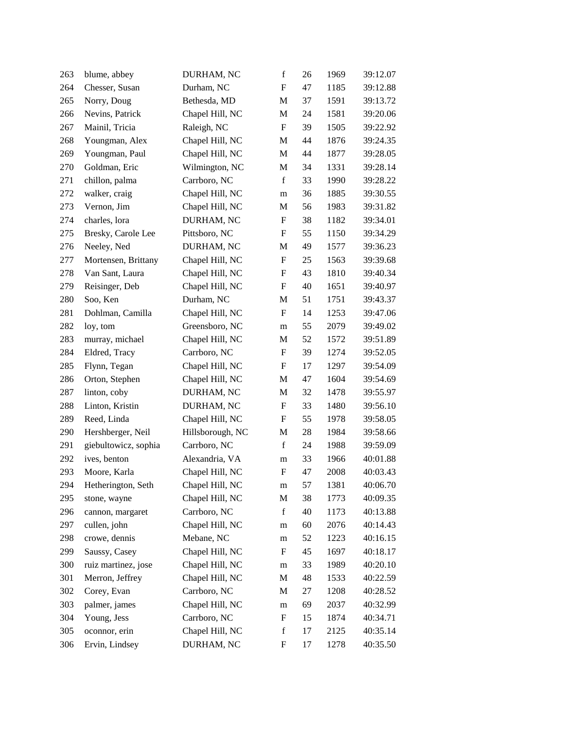| 263 | blume, abbey         | DURHAM, NC       | $\mathbf f$               | 26 | 1969 | 39:12.07 |
|-----|----------------------|------------------|---------------------------|----|------|----------|
| 264 | Chesser, Susan       | Durham, NC       | $\boldsymbol{F}$          | 47 | 1185 | 39:12.88 |
| 265 | Norry, Doug          | Bethesda, MD     | M                         | 37 | 1591 | 39:13.72 |
| 266 | Nevins, Patrick      | Chapel Hill, NC  | M                         | 24 | 1581 | 39:20.06 |
| 267 | Mainil, Tricia       | Raleigh, NC      | $\mathbf F$               | 39 | 1505 | 39:22.92 |
| 268 | Youngman, Alex       | Chapel Hill, NC  | M                         | 44 | 1876 | 39:24.35 |
| 269 | Youngman, Paul       | Chapel Hill, NC  | M                         | 44 | 1877 | 39:28.05 |
| 270 | Goldman, Eric        | Wilmington, NC   | $\mathbf M$               | 34 | 1331 | 39:28.14 |
| 271 | chillon, palma       | Carrboro, NC     | $\mathbf f$               | 33 | 1990 | 39:28.22 |
| 272 | walker, craig        | Chapel Hill, NC  | m                         | 36 | 1885 | 39:30.55 |
| 273 | Vernon, Jim          | Chapel Hill, NC  | M                         | 56 | 1983 | 39:31.82 |
| 274 | charles, lora        | DURHAM, NC       | F                         | 38 | 1182 | 39:34.01 |
| 275 | Bresky, Carole Lee   | Pittsboro, NC    | $\boldsymbol{\mathrm{F}}$ | 55 | 1150 | 39:34.29 |
| 276 | Neeley, Ned          | DURHAM, NC       | M                         | 49 | 1577 | 39:36.23 |
| 277 | Mortensen, Brittany  | Chapel Hill, NC  | $\boldsymbol{\mathrm{F}}$ | 25 | 1563 | 39:39.68 |
| 278 | Van Sant, Laura      | Chapel Hill, NC  | $\boldsymbol{\mathrm{F}}$ | 43 | 1810 | 39:40.34 |
| 279 | Reisinger, Deb       | Chapel Hill, NC  | F                         | 40 | 1651 | 39:40.97 |
| 280 | Soo, Ken             | Durham, NC       | M                         | 51 | 1751 | 39:43.37 |
| 281 | Dohlman, Camilla     | Chapel Hill, NC  | F                         | 14 | 1253 | 39:47.06 |
| 282 | loy, tom             | Greensboro, NC   | m                         | 55 | 2079 | 39:49.02 |
| 283 | murray, michael      | Chapel Hill, NC  | M                         | 52 | 1572 | 39:51.89 |
| 284 | Eldred, Tracy        | Carrboro, NC     | F                         | 39 | 1274 | 39:52.05 |
| 285 | Flynn, Tegan         | Chapel Hill, NC  | $\boldsymbol{\mathrm{F}}$ | 17 | 1297 | 39:54.09 |
| 286 | Orton, Stephen       | Chapel Hill, NC  | M                         | 47 | 1604 | 39:54.69 |
| 287 | linton, coby         | DURHAM, NC       | M                         | 32 | 1478 | 39:55.97 |
| 288 | Linton, Kristin      | DURHAM, NC       | $\boldsymbol{\mathrm{F}}$ | 33 | 1480 | 39:56.10 |
| 289 | Reed, Linda          | Chapel Hill, NC  | F                         | 55 | 1978 | 39:58.05 |
| 290 | Hershberger, Neil    | Hillsborough, NC | M                         | 28 | 1984 | 39:58.66 |
| 291 | giebultowicz, sophia | Carrboro, NC     | $\mathbf f$               | 24 | 1988 | 39:59.09 |
| 292 | ives, benton         | Alexandria, VA   | m                         | 33 | 1966 | 40:01.88 |
| 293 | Moore, Karla         | Chapel Hill, NC  | F                         | 47 | 2008 | 40:03.43 |
| 294 | Hetherington, Seth   | Chapel Hill, NC  | m                         | 57 | 1381 | 40:06.70 |
| 295 | stone, wayne         | Chapel Hill, NC  | $\mathbf M$               | 38 | 1773 | 40:09.35 |
| 296 | cannon, margaret     | Carrboro, NC     | $\mathbf f$               | 40 | 1173 | 40:13.88 |
| 297 | cullen, john         | Chapel Hill, NC  | m                         | 60 | 2076 | 40:14.43 |
| 298 | crowe, dennis        | Mebane, NC       | m                         | 52 | 1223 | 40:16.15 |
| 299 | Saussy, Casey        | Chapel Hill, NC  | F                         | 45 | 1697 | 40:18.17 |
| 300 | ruiz martinez, jose  | Chapel Hill, NC  | m                         | 33 | 1989 | 40:20.10 |
| 301 | Merron, Jeffrey      | Chapel Hill, NC  | M                         | 48 | 1533 | 40:22.59 |
| 302 | Corey, Evan          | Carrboro, NC     | M                         | 27 | 1208 | 40:28.52 |
| 303 | palmer, james        | Chapel Hill, NC  | m                         | 69 | 2037 | 40:32.99 |
| 304 | Young, Jess          | Carrboro, NC     | $\boldsymbol{F}$          | 15 | 1874 | 40:34.71 |
| 305 | oconnor, erin        | Chapel Hill, NC  | $\mathbf f$               | 17 | 2125 | 40:35.14 |
| 306 | Ervin, Lindsey       | DURHAM, NC       | F                         | 17 | 1278 | 40:35.50 |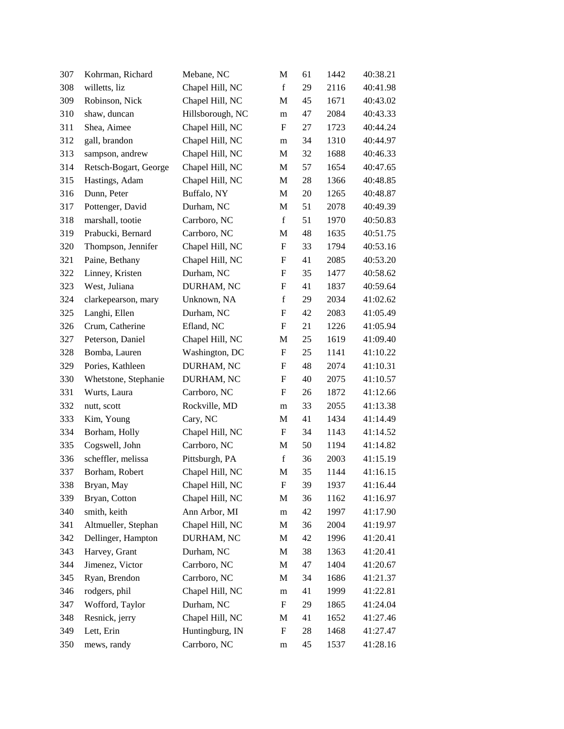| 307 | Kohrman, Richard      | Mebane, NC       | M                         | 61 | 1442 | 40:38.21 |
|-----|-----------------------|------------------|---------------------------|----|------|----------|
| 308 | willetts, liz         | Chapel Hill, NC  | $\mathbf f$               | 29 | 2116 | 40:41.98 |
| 309 | Robinson, Nick        | Chapel Hill, NC  | M                         | 45 | 1671 | 40:43.02 |
| 310 | shaw, duncan          | Hillsborough, NC | m                         | 47 | 2084 | 40:43.33 |
| 311 | Shea, Aimee           | Chapel Hill, NC  | $\mathbf F$               | 27 | 1723 | 40:44.24 |
| 312 | gall, brandon         | Chapel Hill, NC  | m                         | 34 | 1310 | 40:44.97 |
| 313 | sampson, andrew       | Chapel Hill, NC  | M                         | 32 | 1688 | 40:46.33 |
| 314 | Retsch-Bogart, George | Chapel Hill, NC  | M                         | 57 | 1654 | 40:47.65 |
| 315 | Hastings, Adam        | Chapel Hill, NC  | M                         | 28 | 1366 | 40:48.85 |
| 316 | Dunn, Peter           | Buffalo, NY      | M                         | 20 | 1265 | 40:48.87 |
| 317 | Pottenger, David      | Durham, NC       | M                         | 51 | 2078 | 40:49.39 |
| 318 | marshall, tootie      | Carrboro, NC     | f                         | 51 | 1970 | 40:50.83 |
| 319 | Prabucki, Bernard     | Carrboro, NC     | M                         | 48 | 1635 | 40:51.75 |
| 320 | Thompson, Jennifer    | Chapel Hill, NC  | F                         | 33 | 1794 | 40:53.16 |
| 321 | Paine, Bethany        | Chapel Hill, NC  | F                         | 41 | 2085 | 40:53.20 |
| 322 | Linney, Kristen       | Durham, NC       | ${\bf F}$                 | 35 | 1477 | 40:58.62 |
| 323 | West, Juliana         | DURHAM, NC       | F                         | 41 | 1837 | 40:59.64 |
| 324 | clarkepearson, mary   | Unknown, NA      | $\mathbf f$               | 29 | 2034 | 41:02.62 |
| 325 | Langhi, Ellen         | Durham, NC       | F                         | 42 | 2083 | 41:05.49 |
| 326 | Crum, Catherine       | Efland, NC       | F                         | 21 | 1226 | 41:05.94 |
| 327 | Peterson, Daniel      | Chapel Hill, NC  | M                         | 25 | 1619 | 41:09.40 |
| 328 | Bomba, Lauren         | Washington, DC   | $\boldsymbol{\mathrm{F}}$ | 25 | 1141 | 41:10.22 |
| 329 | Pories, Kathleen      | DURHAM, NC       | F                         | 48 | 2074 | 41:10.31 |
| 330 | Whetstone, Stephanie  | DURHAM, NC       | F                         | 40 | 2075 | 41:10.57 |
| 331 | Wurts, Laura          | Carrboro, NC     | F                         | 26 | 1872 | 41:12.66 |
| 332 | nutt, scott           | Rockville, MD    | m                         | 33 | 2055 | 41:13.38 |
| 333 | Kim, Young            | Cary, NC         | M                         | 41 | 1434 | 41:14.49 |
| 334 | Borham, Holly         | Chapel Hill, NC  | $\boldsymbol{\mathrm{F}}$ | 34 | 1143 | 41:14.52 |
| 335 | Cogswell, John        | Carrboro, NC     | M                         | 50 | 1194 | 41:14.82 |
| 336 | scheffler, melissa    | Pittsburgh, PA   | $\mathbf f$               | 36 | 2003 | 41:15.19 |
| 337 | Borham, Robert        | Chapel Hill, NC  | M                         | 35 | 1144 | 41:16.15 |
| 338 | Bryan, May            | Chapel Hill, NC  | F                         | 39 | 1937 | 41:16.44 |
| 339 | Bryan, Cotton         | Chapel Hill, NC  | M                         | 36 | 1162 | 41:16.97 |
| 340 | smith, keith          | Ann Arbor, MI    | ${\rm m}$                 | 42 | 1997 | 41:17.90 |
| 341 | Altmueller, Stephan   | Chapel Hill, NC  | M                         | 36 | 2004 | 41:19.97 |
| 342 | Dellinger, Hampton    | DURHAM, NC       | M                         | 42 | 1996 | 41:20.41 |
| 343 | Harvey, Grant         | Durham, NC       | M                         | 38 | 1363 | 41:20.41 |
| 344 | Jimenez, Victor       | Carrboro, NC     | $\mathbf M$               | 47 | 1404 | 41:20.67 |
| 345 | Ryan, Brendon         | Carrboro, NC     | M                         | 34 | 1686 | 41:21.37 |
| 346 | rodgers, phil         | Chapel Hill, NC  | m                         | 41 | 1999 | 41:22.81 |
| 347 | Wofford, Taylor       | Durham, NC       | $\boldsymbol{\mathrm{F}}$ | 29 | 1865 | 41:24.04 |
| 348 | Resnick, jerry        | Chapel Hill, NC  | M                         | 41 | 1652 | 41:27.46 |
| 349 | Lett, Erin            | Huntingburg, IN  | ${\bf F}$                 | 28 | 1468 | 41:27.47 |
| 350 | mews, randy           | Carrboro, NC     | m                         | 45 | 1537 | 41:28.16 |
|     |                       |                  |                           |    |      |          |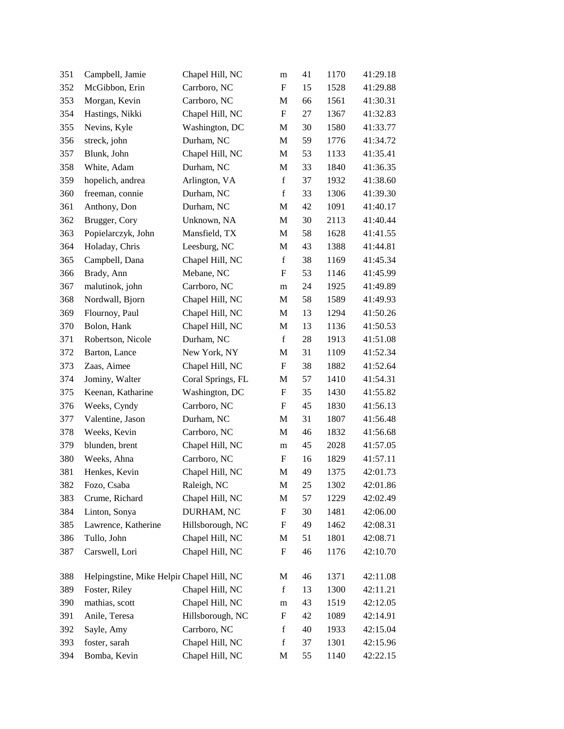| 351 | Campbell, Jamie                           | Chapel Hill, NC   | m                         | 41     | 1170 | 41:29.18 |
|-----|-------------------------------------------|-------------------|---------------------------|--------|------|----------|
| 352 | McGibbon, Erin                            | Carrboro, NC      | $\boldsymbol{\mathrm{F}}$ | 15     | 1528 | 41:29.88 |
| 353 | Morgan, Kevin                             | Carrboro, NC      | M                         | 66     | 1561 | 41:30.31 |
| 354 | Hastings, Nikki                           | Chapel Hill, NC   | $\boldsymbol{\mathrm{F}}$ | 27     | 1367 | 41:32.83 |
| 355 | Nevins, Kyle                              | Washington, DC    | M                         | 30     | 1580 | 41:33.77 |
| 356 | streck, john                              | Durham, NC        | $\mathbf M$               | 59     | 1776 | 41:34.72 |
| 357 | Blunk, John                               | Chapel Hill, NC   | M                         | 53     | 1133 | 41:35.41 |
| 358 | White, Adam                               | Durham, NC        | $\mathbf M$               | 33     | 1840 | 41:36.35 |
| 359 | hopelich, andrea                          | Arlington, VA     | $\mathbf f$               | 37     | 1932 | 41:38.60 |
| 360 | freeman, connie                           | Durham, NC        | $\mathbf f$               | 33     | 1306 | 41:39.30 |
| 361 | Anthony, Don                              | Durham, NC        | $\mathbf M$               | 42     | 1091 | 41:40.17 |
| 362 | Brugger, Cory                             | Unknown, NA       | M                         | 30     | 2113 | 41:40.44 |
| 363 | Popielarczyk, John                        | Mansfield, TX     | $\mathbf M$               | 58     | 1628 | 41:41.55 |
| 364 | Holaday, Chris                            | Leesburg, NC      | M                         | 43     | 1388 | 41:44.81 |
| 365 | Campbell, Dana                            | Chapel Hill, NC   | $\mathbf f$               | 38     | 1169 | 41:45.34 |
| 366 | Brady, Ann                                | Mebane, NC        | $\boldsymbol{\mathrm{F}}$ | 53     | 1146 | 41:45.99 |
| 367 | malutinok, john                           | Carrboro, NC      | m                         | 24     | 1925 | 41:49.89 |
| 368 | Nordwall, Bjorn                           | Chapel Hill, NC   | $\mathbf M$               | 58     | 1589 | 41:49.93 |
| 369 | Flournoy, Paul                            | Chapel Hill, NC   | M                         | 13     | 1294 | 41:50.26 |
| 370 | Bolon, Hank                               | Chapel Hill, NC   | M                         | 13     | 1136 | 41:50.53 |
| 371 | Robertson, Nicole                         | Durham, NC        | $\mathbf f$               | $28\,$ | 1913 | 41:51.08 |
| 372 | Barton, Lance                             | New York, NY      | M                         | 31     | 1109 | 41:52.34 |
| 373 | Zaas, Aimee                               | Chapel Hill, NC   | ${\bf F}$                 | 38     | 1882 | 41:52.64 |
| 374 | Jominy, Walter                            | Coral Springs, FL | M                         | 57     | 1410 | 41:54.31 |
| 375 | Keenan, Katharine                         | Washington, DC    | $\boldsymbol{\mathrm{F}}$ | 35     | 1430 | 41:55.82 |
| 376 | Weeks, Cyndy                              | Carrboro, NC      | $\boldsymbol{\mathrm{F}}$ | 45     | 1830 | 41:56.13 |
| 377 | Valentine, Jason                          | Durham, NC        | M                         | 31     | 1807 | 41:56.48 |
| 378 | Weeks, Kevin                              | Carrboro, NC      | M                         | 46     | 1832 | 41:56.68 |
| 379 | blunden, brent                            | Chapel Hill, NC   | m                         | 45     | 2028 | 41:57.05 |
| 380 | Weeks, Ahna                               | Carrboro, NC      | $\mathbf F$               | 16     | 1829 | 41:57.11 |
| 381 | Henkes, Kevin                             | Chapel Hill, NC   | $\mathbf{M}$              | 49     | 1375 | 42:01.73 |
| 382 | Fozo, Csaba                               | Raleigh, NC       | M                         | 25     | 1302 | 42:01.86 |
| 383 | Crume, Richard                            | Chapel Hill, NC   | M                         | 57     | 1229 | 42:02.49 |
| 384 | Linton, Sonya                             | DURHAM, NC        | $\boldsymbol{\mathrm{F}}$ | 30     | 1481 | 42:06.00 |
| 385 | Lawrence, Katherine                       | Hillsborough, NC  | $\mathbf F$               | 49     | 1462 | 42:08.31 |
| 386 | Tullo, John                               | Chapel Hill, NC   | M                         | 51     | 1801 | 42:08.71 |
| 387 | Carswell, Lori                            | Chapel Hill, NC   | $\boldsymbol{\mathrm{F}}$ | 46     | 1176 | 42:10.70 |
| 388 | Helpingstine, Mike Helpir Chapel Hill, NC |                   | M                         | 46     | 1371 | 42:11.08 |
| 389 | Foster, Riley                             | Chapel Hill, NC   | $\mathbf f$               | 13     | 1300 | 42:11.21 |
| 390 | mathias, scott                            | Chapel Hill, NC   | ${\bf m}$                 | 43     | 1519 | 42:12.05 |
| 391 | Anile, Teresa                             | Hillsborough, NC  | ${\bf F}$                 | 42     | 1089 | 42:14.91 |
| 392 | Sayle, Amy                                | Carrboro, NC      | $\mathbf f$               | 40     | 1933 | 42:15.04 |
| 393 | foster, sarah                             | Chapel Hill, NC   | $\mathbf f$               | 37     | 1301 | 42:15.96 |
| 394 | Bomba, Kevin                              | Chapel Hill, NC   | M                         | 55     | 1140 | 42:22.15 |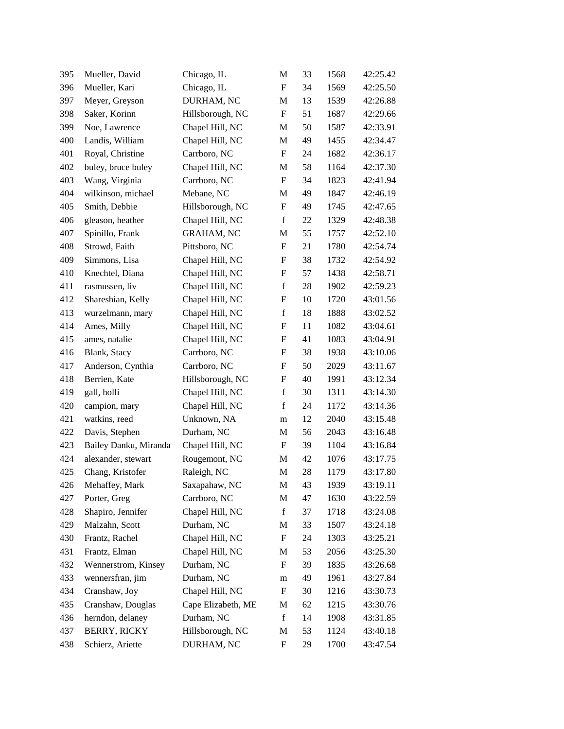| 395 | Mueller, David        | Chicago, IL        | M                         | 33 | 1568 | 42:25.42 |
|-----|-----------------------|--------------------|---------------------------|----|------|----------|
| 396 | Mueller, Kari         | Chicago, IL        | $\mathbf F$               | 34 | 1569 | 42:25.50 |
| 397 | Meyer, Greyson        | DURHAM, NC         | $\mathbf M$               | 13 | 1539 | 42:26.88 |
| 398 | Saker, Korinn         | Hillsborough, NC   | $\mathbf F$               | 51 | 1687 | 42:29.66 |
| 399 | Noe, Lawrence         | Chapel Hill, NC    | M                         | 50 | 1587 | 42:33.91 |
| 400 | Landis, William       | Chapel Hill, NC    | M                         | 49 | 1455 | 42:34.47 |
| 401 | Royal, Christine      | Carrboro, NC       | F                         | 24 | 1682 | 42:36.17 |
| 402 | buley, bruce buley    | Chapel Hill, NC    | M                         | 58 | 1164 | 42:37.30 |
| 403 | Wang, Virginia        | Carrboro, NC       | $\mathbf F$               | 34 | 1823 | 42:41.94 |
| 404 | wilkinson, michael    | Mebane, NC         | M                         | 49 | 1847 | 42:46.19 |
| 405 | Smith, Debbie         | Hillsborough, NC   | $\boldsymbol{\mathrm{F}}$ | 49 | 1745 | 42:47.65 |
| 406 | gleason, heather      | Chapel Hill, NC    | $\mathbf f$               | 22 | 1329 | 42:48.38 |
| 407 | Spinillo, Frank       | <b>GRAHAM, NC</b>  | M                         | 55 | 1757 | 42:52.10 |
| 408 | Strowd, Faith         | Pittsboro, NC      | $\boldsymbol{\mathrm{F}}$ | 21 | 1780 | 42:54.74 |
| 409 | Simmons, Lisa         | Chapel Hill, NC    | $\boldsymbol{F}$          | 38 | 1732 | 42:54.92 |
| 410 | Knechtel, Diana       | Chapel Hill, NC    | ${\bf F}$                 | 57 | 1438 | 42:58.71 |
| 411 | rasmussen, liv        | Chapel Hill, NC    | $\mathbf f$               | 28 | 1902 | 42:59.23 |
| 412 | Shareshian, Kelly     | Chapel Hill, NC    | ${\bf F}$                 | 10 | 1720 | 43:01.56 |
| 413 | wurzelmann, mary      | Chapel Hill, NC    | $\mathbf f$               | 18 | 1888 | 43:02.52 |
| 414 | Ames, Milly           | Chapel Hill, NC    | ${\bf F}$                 | 11 | 1082 | 43:04.61 |
| 415 | ames, natalie         | Chapel Hill, NC    | ${\bf F}$                 | 41 | 1083 | 43:04.91 |
| 416 | Blank, Stacy          | Carrboro, NC       | F                         | 38 | 1938 | 43:10.06 |
| 417 | Anderson, Cynthia     | Carrboro, NC       | ${\bf F}$                 | 50 | 2029 | 43:11.67 |
| 418 | Berrien, Kate         | Hillsborough, NC   | F                         | 40 | 1991 | 43:12.34 |
| 419 | gall, holli           | Chapel Hill, NC    | $\mathbf f$               | 30 | 1311 | 43:14.30 |
| 420 | campion, mary         | Chapel Hill, NC    | $\mathbf f$               | 24 | 1172 | 43:14.36 |
| 421 | watkins, reed         | Unknown, NA        | m                         | 12 | 2040 | 43:15.48 |
| 422 | Davis, Stephen        | Durham, NC         | M                         | 56 | 2043 | 43:16.48 |
| 423 | Bailey Danku, Miranda | Chapel Hill, NC    | F                         | 39 | 1104 | 43:16.84 |
| 424 | alexander, stewart    | Rougemont, NC      | M                         | 42 | 1076 | 43:17.75 |
| 425 | Chang, Kristofer      | Raleigh, NC        | M                         | 28 | 1179 | 43:17.80 |
| 426 | Mehaffey, Mark        | Saxapahaw, NC      | M                         | 43 | 1939 | 43:19.11 |
| 427 | Porter, Greg          | Carrboro, NC       | $\mathbf M$               | 47 | 1630 | 43:22.59 |
| 428 | Shapiro, Jennifer     | Chapel Hill, NC    | $\mathbf f$               | 37 | 1718 | 43:24.08 |
| 429 | Malzahn, Scott        | Durham, NC         | M                         | 33 | 1507 | 43:24.18 |
| 430 | Frantz, Rachel        | Chapel Hill, NC    | ${\bf F}$                 | 24 | 1303 | 43:25.21 |
| 431 | Frantz, Elman         | Chapel Hill, NC    | M                         | 53 | 2056 | 43:25.30 |
| 432 | Wennerstrom, Kinsey   | Durham, NC         | ${\bf F}$                 | 39 | 1835 | 43:26.68 |
| 433 | wennersfran, jim      | Durham, NC         | m                         | 49 | 1961 | 43:27.84 |
| 434 | Cranshaw, Joy         | Chapel Hill, NC    | F                         | 30 | 1216 | 43:30.73 |
| 435 | Cranshaw, Douglas     | Cape Elizabeth, ME | M                         | 62 | 1215 | 43:30.76 |
| 436 | herndon, delaney      | Durham, NC         | $\mathbf f$               | 14 | 1908 | 43:31.85 |
| 437 | <b>BERRY, RICKY</b>   | Hillsborough, NC   | M                         | 53 | 1124 | 43:40.18 |
| 438 | Schierz, Ariette      | DURHAM, NC         | F                         | 29 | 1700 | 43:47.54 |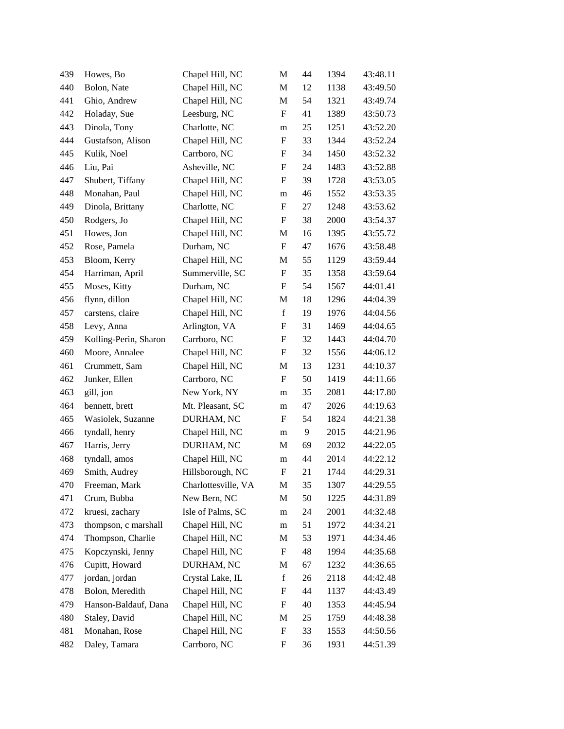| 439 | Howes, Bo             | Chapel Hill, NC     | M                         | 44 | 1394 | 43:48.11 |
|-----|-----------------------|---------------------|---------------------------|----|------|----------|
| 440 | Bolon, Nate           | Chapel Hill, NC     | M                         | 12 | 1138 | 43:49.50 |
| 441 | Ghio, Andrew          | Chapel Hill, NC     | M                         | 54 | 1321 | 43:49.74 |
| 442 | Holaday, Sue          | Leesburg, NC        | $\boldsymbol{\mathrm{F}}$ | 41 | 1389 | 43:50.73 |
| 443 | Dinola, Tony          | Charlotte, NC       | m                         | 25 | 1251 | 43:52.20 |
| 444 | Gustafson, Alison     | Chapel Hill, NC     | F                         | 33 | 1344 | 43:52.24 |
| 445 | Kulik, Noel           | Carrboro, NC        | F                         | 34 | 1450 | 43:52.32 |
| 446 | Liu, Pai              | Asheville, NC       | F                         | 24 | 1483 | 43:52.88 |
| 447 | Shubert, Tiffany      | Chapel Hill, NC     | ${\rm F}$                 | 39 | 1728 | 43:53.05 |
| 448 | Monahan, Paul         | Chapel Hill, NC     | m                         | 46 | 1552 | 43:53.35 |
| 449 | Dinola, Brittany      | Charlotte, NC       | F                         | 27 | 1248 | 43:53.62 |
| 450 | Rodgers, Jo           | Chapel Hill, NC     | F                         | 38 | 2000 | 43:54.37 |
| 451 | Howes, Jon            | Chapel Hill, NC     | M                         | 16 | 1395 | 43:55.72 |
| 452 | Rose, Pamela          | Durham, NC          | $\boldsymbol{\mathrm{F}}$ | 47 | 1676 | 43:58.48 |
| 453 | Bloom, Kerry          | Chapel Hill, NC     | M                         | 55 | 1129 | 43:59.44 |
| 454 | Harriman, April       | Summerville, SC     | $\boldsymbol{\mathrm{F}}$ | 35 | 1358 | 43:59.64 |
| 455 | Moses, Kitty          | Durham, NC          | F                         | 54 | 1567 | 44:01.41 |
| 456 | flynn, dillon         | Chapel Hill, NC     | M                         | 18 | 1296 | 44:04.39 |
| 457 | carstens, claire      | Chapel Hill, NC     | $\mathbf f$               | 19 | 1976 | 44:04.56 |
| 458 | Levy, Anna            | Arlington, VA       | ${\rm F}$                 | 31 | 1469 | 44:04.65 |
| 459 | Kolling-Perin, Sharon | Carrboro, NC        | F                         | 32 | 1443 | 44:04.70 |
| 460 | Moore, Annalee        | Chapel Hill, NC     | F                         | 32 | 1556 | 44:06.12 |
| 461 | Crummett, Sam         | Chapel Hill, NC     | M                         | 13 | 1231 | 44:10.37 |
| 462 | Junker, Ellen         | Carrboro, NC        | $\boldsymbol{\mathrm{F}}$ | 50 | 1419 | 44:11.66 |
| 463 | gill, jon             | New York, NY        | m                         | 35 | 2081 | 44:17.80 |
| 464 | bennett, brett        | Mt. Pleasant, SC    | m                         | 47 | 2026 | 44:19.63 |
| 465 | Wasiolek, Suzanne     | DURHAM, NC          | F                         | 54 | 1824 | 44:21.38 |
| 466 | tyndall, henry        | Chapel Hill, NC     | m                         | 9  | 2015 | 44:21.96 |
| 467 | Harris, Jerry         | DURHAM, NC          | M                         | 69 | 2032 | 44:22.05 |
| 468 | tyndall, amos         | Chapel Hill, NC     | m                         | 44 | 2014 | 44:22.12 |
| 469 | Smith, Audrey         | Hillsborough, NC    | F                         | 21 | 1744 | 44:29.31 |
| 470 | Freeman, Mark         | Charlottesville, VA | M                         | 35 | 1307 | 44:29.55 |
| 471 | Crum, Bubba           | New Bern, NC        | M                         | 50 | 1225 | 44:31.89 |
| 472 | kruesi, zachary       | Isle of Palms, SC   | m                         | 24 | 2001 | 44:32.48 |
| 473 | thompson, c marshall  | Chapel Hill, NC     | m                         | 51 | 1972 | 44:34.21 |
| 474 | Thompson, Charlie     | Chapel Hill, NC     | M                         | 53 | 1971 | 44:34.46 |
| 475 | Kopczynski, Jenny     | Chapel Hill, NC     | F                         | 48 | 1994 | 44:35.68 |
| 476 | Cupitt, Howard        | DURHAM, NC          | M                         | 67 | 1232 | 44:36.65 |
| 477 | jordan, jordan        | Crystal Lake, IL    | $\mathbf f$               | 26 | 2118 | 44:42.48 |
| 478 | Bolon, Meredith       | Chapel Hill, NC     | F                         | 44 | 1137 | 44:43.49 |
| 479 | Hanson-Baldauf, Dana  | Chapel Hill, NC     | ${\rm F}$                 | 40 | 1353 | 44:45.94 |
| 480 | Staley, David         | Chapel Hill, NC     | M                         | 25 | 1759 | 44:48.38 |
| 481 | Monahan, Rose         | Chapel Hill, NC     | ${\rm F}$                 | 33 | 1553 | 44:50.56 |
| 482 | Daley, Tamara         | Carrboro, NC        | ${\rm F}$                 | 36 | 1931 | 44:51.39 |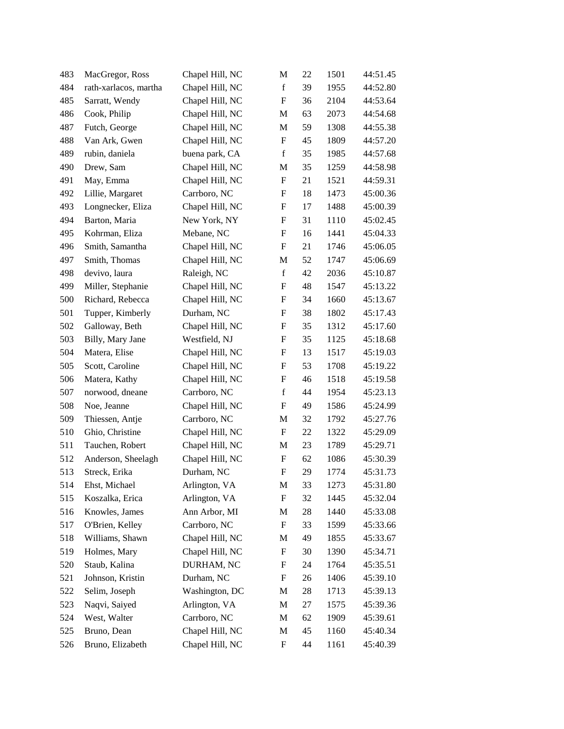| 483 | MacGregor, Ross       | Chapel Hill, NC | M                         | 22 | 1501 | 44:51.45 |
|-----|-----------------------|-----------------|---------------------------|----|------|----------|
| 484 | rath-xarlacos, martha | Chapel Hill, NC | $\mathbf f$               | 39 | 1955 | 44:52.80 |
| 485 | Sarratt, Wendy        | Chapel Hill, NC | ${\bf F}$                 | 36 | 2104 | 44:53.64 |
| 486 | Cook, Philip          | Chapel Hill, NC | M                         | 63 | 2073 | 44:54.68 |
| 487 | Futch, George         | Chapel Hill, NC | M                         | 59 | 1308 | 44:55.38 |
| 488 | Van Ark, Gwen         | Chapel Hill, NC | ${\bf F}$                 | 45 | 1809 | 44:57.20 |
| 489 | rubin, daniela        | buena park, CA  | $\mathbf f$               | 35 | 1985 | 44:57.68 |
| 490 | Drew, Sam             | Chapel Hill, NC | M                         | 35 | 1259 | 44:58.98 |
| 491 | May, Emma             | Chapel Hill, NC | $\boldsymbol{\mathrm{F}}$ | 21 | 1521 | 44:59.31 |
| 492 | Lillie, Margaret      | Carrboro, NC    | ${\bf F}$                 | 18 | 1473 | 45:00.36 |
| 493 | Longnecker, Eliza     | Chapel Hill, NC | $\boldsymbol{\mathrm{F}}$ | 17 | 1488 | 45:00.39 |
| 494 | Barton, Maria         | New York, NY    | F                         | 31 | 1110 | 45:02.45 |
| 495 | Kohrman, Eliza        | Mebane, NC      | $\boldsymbol{\mathrm{F}}$ | 16 | 1441 | 45:04.33 |
| 496 | Smith, Samantha       | Chapel Hill, NC | $\boldsymbol{\mathrm{F}}$ | 21 | 1746 | 45:06.05 |
| 497 | Smith, Thomas         | Chapel Hill, NC | M                         | 52 | 1747 | 45:06.69 |
| 498 | devivo, laura         | Raleigh, NC     | $\mathbf f$               | 42 | 2036 | 45:10.87 |
| 499 | Miller, Stephanie     | Chapel Hill, NC | F                         | 48 | 1547 | 45:13.22 |
| 500 | Richard, Rebecca      | Chapel Hill, NC | ${\bf F}$                 | 34 | 1660 | 45:13.67 |
| 501 | Tupper, Kimberly      | Durham, NC      | $\boldsymbol{F}$          | 38 | 1802 | 45:17.43 |
| 502 | Galloway, Beth        | Chapel Hill, NC | ${\bf F}$                 | 35 | 1312 | 45:17.60 |
| 503 | Billy, Mary Jane      | Westfield, NJ   | $\boldsymbol{\mathrm{F}}$ | 35 | 1125 | 45:18.68 |
| 504 | Matera, Elise         | Chapel Hill, NC | F                         | 13 | 1517 | 45:19.03 |
| 505 | Scott, Caroline       | Chapel Hill, NC | $\boldsymbol{\mathrm{F}}$ | 53 | 1708 | 45:19.22 |
| 506 | Matera, Kathy         | Chapel Hill, NC | $\boldsymbol{F}$          | 46 | 1518 | 45:19.58 |
| 507 | norwood, dneane       | Carrboro, NC    | $\mathbf f$               | 44 | 1954 | 45:23.13 |
| 508 | Noe, Jeanne           | Chapel Hill, NC | $\boldsymbol{\mathrm{F}}$ | 49 | 1586 | 45:24.99 |
| 509 | Thiessen, Antje       | Carrboro, NC    | M                         | 32 | 1792 | 45:27.76 |
| 510 | Ghio, Christine       | Chapel Hill, NC | $\boldsymbol{\mathrm{F}}$ | 22 | 1322 | 45:29.09 |
| 511 | Tauchen, Robert       | Chapel Hill, NC | M                         | 23 | 1789 | 45:29.71 |
| 512 | Anderson, Sheelagh    | Chapel Hill, NC | ${\bf F}$                 | 62 | 1086 | 45:30.39 |
| 513 | Streck, Erika         | Durham, NC      | $\boldsymbol{\mathrm{F}}$ | 29 | 1774 | 45:31.73 |
| 514 | Ehst, Michael         | Arlington, VA   | M                         | 33 | 1273 | 45:31.80 |
| 515 | Koszalka, Erica       | Arlington, VA   | $\boldsymbol{F}$          | 32 | 1445 | 45:32.04 |
| 516 | Knowles, James        | Ann Arbor, MI   | M                         | 28 | 1440 | 45:33.08 |
| 517 | O'Brien, Kelley       | Carrboro, NC    | $\mathbf F$               | 33 | 1599 | 45:33.66 |
| 518 | Williams, Shawn       | Chapel Hill, NC | M                         | 49 | 1855 | 45:33.67 |
| 519 | Holmes, Mary          | Chapel Hill, NC | $\boldsymbol{F}$          | 30 | 1390 | 45:34.71 |
| 520 | Staub, Kalina         | DURHAM, NC      | F                         | 24 | 1764 | 45:35.51 |
| 521 | Johnson, Kristin      | Durham, NC      | F                         | 26 | 1406 | 45:39.10 |
| 522 | Selim, Joseph         | Washington, DC  | M                         | 28 | 1713 | 45:39.13 |
| 523 | Naqvi, Saiyed         | Arlington, VA   | M                         | 27 | 1575 | 45:39.36 |
| 524 | West, Walter          | Carrboro, NC    | M                         | 62 | 1909 | 45:39.61 |
| 525 | Bruno, Dean           | Chapel Hill, NC | M                         | 45 | 1160 | 45:40.34 |
| 526 | Bruno, Elizabeth      | Chapel Hill, NC | $\boldsymbol{\mathrm{F}}$ | 44 | 1161 | 45:40.39 |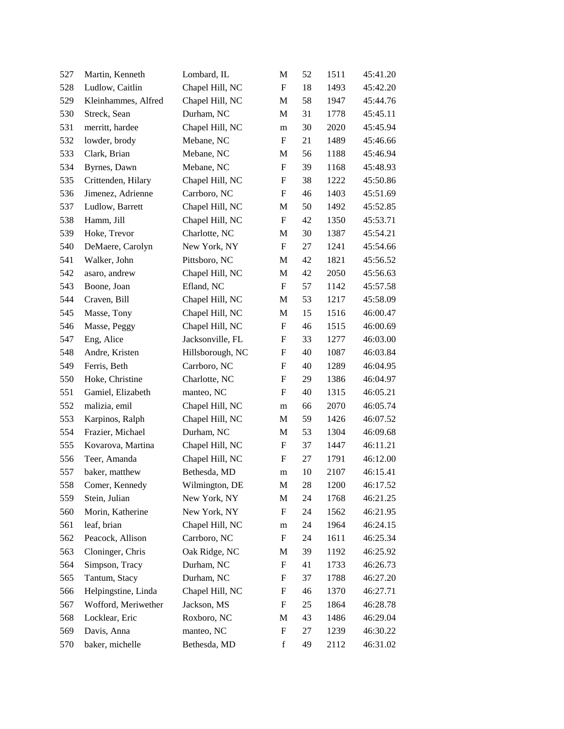| 527 | Martin, Kenneth     | Lombard, IL      | M                         | 52 | 1511 | 45:41.20 |
|-----|---------------------|------------------|---------------------------|----|------|----------|
| 528 | Ludlow, Caitlin     | Chapel Hill, NC  | F                         | 18 | 1493 | 45:42.20 |
| 529 | Kleinhammes, Alfred | Chapel Hill, NC  | M                         | 58 | 1947 | 45:44.76 |
| 530 | Streck, Sean        | Durham, NC       | M                         | 31 | 1778 | 45:45.11 |
| 531 | merritt, hardee     | Chapel Hill, NC  | ${\bf m}$                 | 30 | 2020 | 45:45.94 |
| 532 | lowder, brody       | Mebane, NC       | $\boldsymbol{\mathrm{F}}$ | 21 | 1489 | 45:46.66 |
| 533 | Clark, Brian        | Mebane, NC       | M                         | 56 | 1188 | 45:46.94 |
| 534 | Byrnes, Dawn        | Mebane, NC       | $\boldsymbol{\mathrm{F}}$ | 39 | 1168 | 45:48.93 |
| 535 | Crittenden, Hilary  | Chapel Hill, NC  | ${\rm F}$                 | 38 | 1222 | 45:50.86 |
| 536 | Jimenez, Adrienne   | Carrboro, NC     | F                         | 46 | 1403 | 45:51.69 |
| 537 | Ludlow, Barrett     | Chapel Hill, NC  | M                         | 50 | 1492 | 45:52.85 |
| 538 | Hamm, Jill          | Chapel Hill, NC  | F                         | 42 | 1350 | 45:53.71 |
| 539 | Hoke, Trevor        | Charlotte, NC    | M                         | 30 | 1387 | 45:54.21 |
| 540 | DeMaere, Carolyn    | New York, NY     | $\boldsymbol{\mathrm{F}}$ | 27 | 1241 | 45:54.66 |
| 541 | Walker, John        | Pittsboro, NC    | M                         | 42 | 1821 | 45:56.52 |
| 542 | asaro, andrew       | Chapel Hill, NC  | M                         | 42 | 2050 | 45:56.63 |
| 543 | Boone, Joan         | Efland, NC       | F                         | 57 | 1142 | 45:57.58 |
| 544 | Craven, Bill        | Chapel Hill, NC  | M                         | 53 | 1217 | 45:58.09 |
| 545 | Masse, Tony         | Chapel Hill, NC  | M                         | 15 | 1516 | 46:00.47 |
| 546 | Masse, Peggy        | Chapel Hill, NC  | ${\rm F}$                 | 46 | 1515 | 46:00.69 |
| 547 | Eng, Alice          | Jacksonville, FL | F                         | 33 | 1277 | 46:03.00 |
| 548 | Andre, Kristen      | Hillsborough, NC | F                         | 40 | 1087 | 46:03.84 |
| 549 | Ferris, Beth        | Carrboro, NC     | F                         | 40 | 1289 | 46:04.95 |
| 550 | Hoke, Christine     | Charlotte, NC    | ${\rm F}$                 | 29 | 1386 | 46:04.97 |
| 551 | Gamiel, Elizabeth   | manteo, NC       | ${\rm F}$                 | 40 | 1315 | 46:05.21 |
| 552 | malizia, emil       | Chapel Hill, NC  | m                         | 66 | 2070 | 46:05.74 |
| 553 | Karpinos, Ralph     | Chapel Hill, NC  | M                         | 59 | 1426 | 46:07.52 |
| 554 | Frazier, Michael    | Durham, NC       | M                         | 53 | 1304 | 46:09.68 |
| 555 | Kovarova, Martina   | Chapel Hill, NC  | $\boldsymbol{\mathrm{F}}$ | 37 | 1447 | 46:11.21 |
| 556 | Teer, Amanda        | Chapel Hill, NC  | ${\rm F}$                 | 27 | 1791 | 46:12.00 |
| 557 | baker, matthew      | Bethesda, MD     | m                         | 10 | 2107 | 46:15.41 |
| 558 | Comer, Kennedy      | Wilmington, DE   | M                         | 28 | 1200 | 46:17.52 |
| 559 | Stein, Julian       | New York, NY     | M                         | 24 | 1768 | 46:21.25 |
| 560 | Morin, Katherine    | New York, NY     | ${\rm F}$                 | 24 | 1562 | 46:21.95 |
| 561 | leaf, brian         | Chapel Hill, NC  | m                         | 24 | 1964 | 46:24.15 |
| 562 | Peacock, Allison    | Carrboro, NC     | ${\rm F}$                 | 24 | 1611 | 46:25.34 |
| 563 | Cloninger, Chris    | Oak Ridge, NC    | M                         | 39 | 1192 | 46:25.92 |
| 564 | Simpson, Tracy      | Durham, NC       | ${\rm F}$                 | 41 | 1733 | 46:26.73 |
| 565 | Tantum, Stacy       | Durham, NC       | F                         | 37 | 1788 | 46:27.20 |
| 566 | Helpingstine, Linda | Chapel Hill, NC  | F                         | 46 | 1370 | 46:27.71 |
| 567 | Wofford, Meriwether | Jackson, MS      | ${\rm F}$                 | 25 | 1864 | 46:28.78 |
| 568 | Locklear, Eric      | Roxboro, NC      | M                         | 43 | 1486 | 46:29.04 |
| 569 | Davis, Anna         | manteo, NC       | ${\rm F}$                 | 27 | 1239 | 46:30.22 |
| 570 | baker, michelle     | Bethesda, MD     | $\mathbf f$               | 49 | 2112 | 46:31.02 |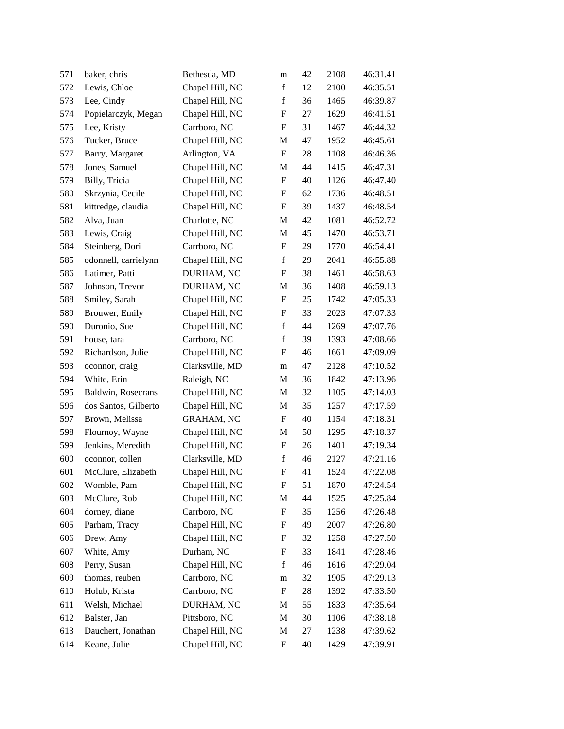| 571 | baker, chris         | Bethesda, MD      | m           | 42 | 2108 | 46:31.41 |
|-----|----------------------|-------------------|-------------|----|------|----------|
| 572 | Lewis, Chloe         | Chapel Hill, NC   | $\mathbf f$ | 12 | 2100 | 46:35.51 |
| 573 | Lee, Cindy           | Chapel Hill, NC   | $\mathbf f$ | 36 | 1465 | 46:39.87 |
| 574 | Popielarczyk, Megan  | Chapel Hill, NC   | F           | 27 | 1629 | 46:41.51 |
| 575 | Lee, Kristy          | Carrboro, NC      | F           | 31 | 1467 | 46:44.32 |
| 576 | Tucker, Bruce        | Chapel Hill, NC   | M           | 47 | 1952 | 46:45.61 |
| 577 | Barry, Margaret      | Arlington, VA     | F           | 28 | 1108 | 46:46.36 |
| 578 | Jones, Samuel        | Chapel Hill, NC   | M           | 44 | 1415 | 46:47.31 |
| 579 | Billy, Tricia        | Chapel Hill, NC   | ${\rm F}$   | 40 | 1126 | 46:47.40 |
| 580 | Skrzynia, Cecile     | Chapel Hill, NC   | F           | 62 | 1736 | 46:48.51 |
| 581 | kittredge, claudia   | Chapel Hill, NC   | ${\rm F}$   | 39 | 1437 | 46:48.54 |
| 582 | Alva, Juan           | Charlotte, NC     | M           | 42 | 1081 | 46:52.72 |
| 583 | Lewis, Craig         | Chapel Hill, NC   | M           | 45 | 1470 | 46:53.71 |
| 584 | Steinberg, Dori      | Carrboro, NC      | ${\rm F}$   | 29 | 1770 | 46:54.41 |
| 585 | odonnell, carrielynn | Chapel Hill, NC   | $\mathbf f$ | 29 | 2041 | 46:55.88 |
| 586 | Latimer, Patti       | DURHAM, NC        | ${\rm F}$   | 38 | 1461 | 46:58.63 |
| 587 | Johnson, Trevor      | DURHAM, NC        | M           | 36 | 1408 | 46:59.13 |
| 588 | Smiley, Sarah        | Chapel Hill, NC   | ${\rm F}$   | 25 | 1742 | 47:05.33 |
| 589 | Brouwer, Emily       | Chapel Hill, NC   | ${\rm F}$   | 33 | 2023 | 47:07.33 |
| 590 | Duronio, Sue         | Chapel Hill, NC   | $\mathbf f$ | 44 | 1269 | 47:07.76 |
| 591 | house, tara          | Carrboro, NC      | $\mathbf f$ | 39 | 1393 | 47:08.66 |
| 592 | Richardson, Julie    | Chapel Hill, NC   | F           | 46 | 1661 | 47:09.09 |
| 593 | oconnor, craig       | Clarksville, MD   | m           | 47 | 2128 | 47:10.52 |
| 594 | White, Erin          | Raleigh, NC       | M           | 36 | 1842 | 47:13.96 |
| 595 | Baldwin, Rosecrans   | Chapel Hill, NC   | M           | 32 | 1105 | 47:14.03 |
| 596 | dos Santos, Gilberto | Chapel Hill, NC   | M           | 35 | 1257 | 47:17.59 |
| 597 | Brown, Melissa       | <b>GRAHAM, NC</b> | F           | 40 | 1154 | 47:18.31 |
| 598 | Flournoy, Wayne      | Chapel Hill, NC   | M           | 50 | 1295 | 47:18.37 |
| 599 | Jenkins, Meredith    | Chapel Hill, NC   | ${\rm F}$   | 26 | 1401 | 47:19.34 |
| 600 | oconnor, collen      | Clarksville, MD   | $\mathbf f$ | 46 | 2127 | 47:21.16 |
| 601 | McClure, Elizabeth   | Chapel Hill, NC   | F           | 41 | 1524 | 47:22.08 |
| 602 | Womble, Pam          | Chapel Hill, NC   | F           | 51 | 1870 | 47:24.54 |
| 603 | McClure, Rob         | Chapel Hill, NC   | M           | 44 | 1525 | 47:25.84 |
| 604 | dorney, diane        | Carrboro, NC      | ${\rm F}$   | 35 | 1256 | 47:26.48 |
| 605 | Parham, Tracy        | Chapel Hill, NC   | F           | 49 | 2007 | 47:26.80 |
| 606 | Drew, Amy            | Chapel Hill, NC   | ${\rm F}$   | 32 | 1258 | 47:27.50 |
| 607 | White, Amy           | Durham, NC        | ${\rm F}$   | 33 | 1841 | 47:28.46 |
| 608 | Perry, Susan         | Chapel Hill, NC   | $\mathbf f$ | 46 | 1616 | 47:29.04 |
| 609 | thomas, reuben       | Carrboro, NC      | m           | 32 | 1905 | 47:29.13 |
| 610 | Holub, Krista        | Carrboro, NC      | F           | 28 | 1392 | 47:33.50 |
| 611 | Welsh, Michael       | DURHAM, NC        | M           | 55 | 1833 | 47:35.64 |
| 612 | Balster, Jan         | Pittsboro, NC     | M           | 30 | 1106 | 47:38.18 |
| 613 | Dauchert, Jonathan   | Chapel Hill, NC   | M           | 27 | 1238 | 47:39.62 |
| 614 | Keane, Julie         | Chapel Hill, NC   | ${\rm F}$   | 40 | 1429 | 47:39.91 |
|     |                      |                   |             |    |      |          |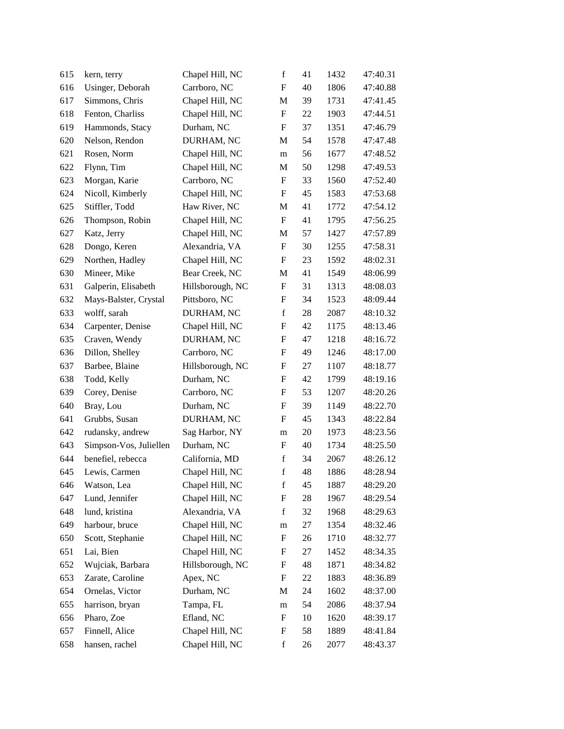| 615 | kern, terry            | Chapel Hill, NC  | $\mathbf f$ | 41     | 1432 | 47:40.31 |
|-----|------------------------|------------------|-------------|--------|------|----------|
| 616 | Usinger, Deborah       | Carrboro, NC     | F           | 40     | 1806 | 47:40.88 |
| 617 | Simmons, Chris         | Chapel Hill, NC  | M           | 39     | 1731 | 47:41.45 |
| 618 | Fenton, Charliss       | Chapel Hill, NC  | F           | 22     | 1903 | 47:44.51 |
| 619 | Hammonds, Stacy        | Durham, NC       | F           | 37     | 1351 | 47:46.79 |
| 620 | Nelson, Rendon         | DURHAM, NC       | M           | 54     | 1578 | 47:47.48 |
| 621 | Rosen, Norm            | Chapel Hill, NC  | m           | 56     | 1677 | 47:48.52 |
| 622 | Flynn, Tim             | Chapel Hill, NC  | M           | 50     | 1298 | 47:49.53 |
| 623 | Morgan, Karie          | Carrboro, NC     | F           | 33     | 1560 | 47:52.40 |
| 624 | Nicoll, Kimberly       | Chapel Hill, NC  | F           | 45     | 1583 | 47:53.68 |
| 625 | Stiffler, Todd         | Haw River, NC    | M           | 41     | 1772 | 47:54.12 |
| 626 | Thompson, Robin        | Chapel Hill, NC  | F           | 41     | 1795 | 47:56.25 |
| 627 | Katz, Jerry            | Chapel Hill, NC  | M           | 57     | 1427 | 47:57.89 |
| 628 | Dongo, Keren           | Alexandria, VA   | F           | 30     | 1255 | 47:58.31 |
| 629 | Northen, Hadley        | Chapel Hill, NC  | F           | 23     | 1592 | 48:02.31 |
| 630 | Mineer, Mike           | Bear Creek, NC   | M           | 41     | 1549 | 48:06.99 |
| 631 | Galperin, Elisabeth    | Hillsborough, NC | F           | 31     | 1313 | 48:08.03 |
| 632 | Mays-Balster, Crystal  | Pittsboro, NC    | ${\rm F}$   | 34     | 1523 | 48:09.44 |
| 633 | wolff, sarah           | DURHAM, NC       | $\mathbf f$ | 28     | 2087 | 48:10.32 |
| 634 | Carpenter, Denise      | Chapel Hill, NC  | F           | 42     | 1175 | 48:13.46 |
| 635 | Craven, Wendy          | DURHAM, NC       | F           | 47     | 1218 | 48:16.72 |
| 636 | Dillon, Shelley        | Carrboro, NC     | F           | 49     | 1246 | 48:17.00 |
| 637 | Barbee, Blaine         | Hillsborough, NC | ${\rm F}$   | 27     | 1107 | 48:18.77 |
| 638 | Todd, Kelly            | Durham, NC       | ${\rm F}$   | 42     | 1799 | 48:19.16 |
| 639 | Corey, Denise          | Carrboro, NC     | F           | 53     | 1207 | 48:20.26 |
| 640 | Bray, Lou              | Durham, NC       | F           | 39     | 1149 | 48:22.70 |
| 641 | Grubbs, Susan          | DURHAM, NC       | F           | 45     | 1343 | 48:22.84 |
| 642 | rudansky, andrew       | Sag Harbor, NY   | m           | $20\,$ | 1973 | 48:23.56 |
| 643 | Simpson-Vos, Juliellen | Durham, NC       | F           | 40     | 1734 | 48:25.50 |
| 644 | benefiel, rebecca      | California, MD   | $\mathbf f$ | 34     | 2067 | 48:26.12 |
| 645 | Lewis, Carmen          | Chapel Hill, NC  | $\mathbf f$ | 48     | 1886 | 48:28.94 |
| 646 | Watson, Lea            | Chapel Hill, NC  | $\mathbf f$ | 45     | 1887 | 48:29.20 |
| 647 | Lund, Jennifer         | Chapel Hill, NC  | ${\rm F}$   | 28     | 1967 | 48:29.54 |
| 648 | lund, kristina         | Alexandria, VA   | $\mathbf f$ | 32     | 1968 | 48:29.63 |
| 649 | harbour, bruce         | Chapel Hill, NC  | m           | 27     | 1354 | 48:32.46 |
| 650 | Scott, Stephanie       | Chapel Hill, NC  | ${\rm F}$   | 26     | 1710 | 48:32.77 |
| 651 | Lai, Bien              | Chapel Hill, NC  | ${\rm F}$   | 27     | 1452 | 48:34.35 |
| 652 | Wujciak, Barbara       | Hillsborough, NC | ${\rm F}$   | 48     | 1871 | 48:34.82 |
| 653 | Zarate, Caroline       | Apex, NC         | F           | 22     | 1883 | 48:36.89 |
| 654 | Ornelas, Victor        | Durham, NC       | M           | 24     | 1602 | 48:37.00 |
| 655 | harrison, bryan        | Tampa, FL        | m           | 54     | 2086 | 48:37.94 |
| 656 | Pharo, Zoe             | Efland, NC       | ${\rm F}$   | 10     | 1620 | 48:39.17 |
| 657 | Finnell, Alice         | Chapel Hill, NC  | ${\rm F}$   | 58     | 1889 | 48:41.84 |
| 658 | hansen, rachel         | Chapel Hill, NC  | $\mathbf f$ | 26     | 2077 | 48:43.37 |
|     |                        |                  |             |        |      |          |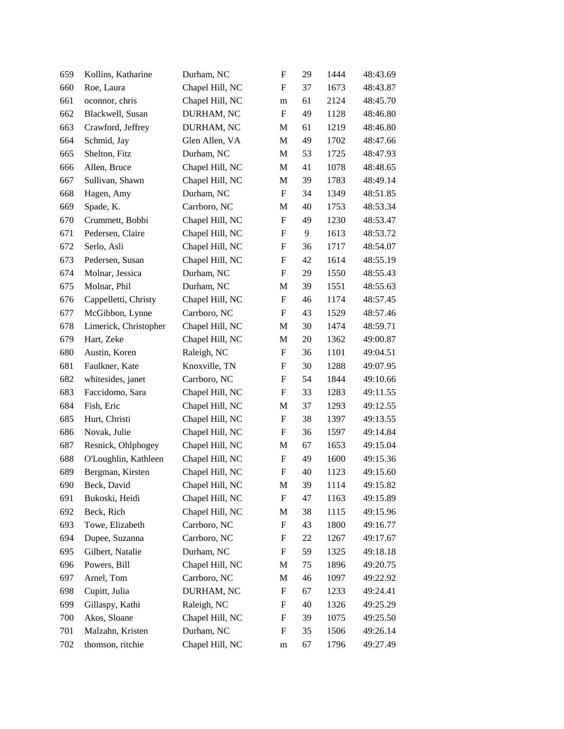| 659 | Kollins, Katharine    | Durham, NC      | $\boldsymbol{\mathrm{F}}$ | 29 | 1444 | 48:43.69 |
|-----|-----------------------|-----------------|---------------------------|----|------|----------|
| 660 | Roe, Laura            | Chapel Hill, NC | F                         | 37 | 1673 | 48:43.87 |
| 661 | oconnor, chris        | Chapel Hill, NC | m                         | 61 | 2124 | 48:45.70 |
| 662 | Blackwell, Susan      | DURHAM, NC      | $\boldsymbol{\mathrm{F}}$ | 49 | 1128 | 48:46.80 |
| 663 | Crawford, Jeffrey     | DURHAM, NC      | M                         | 61 | 1219 | 48:46.80 |
| 664 | Schmid, Jay           | Glen Allen, VA  | $\mathbf M$               | 49 | 1702 | 48:47.66 |
| 665 | Shelton, Fitz         | Durham, NC      | M                         | 53 | 1725 | 48:47.93 |
| 666 | Allen, Bruce          | Chapel Hill, NC | M                         | 41 | 1078 | 48:48.65 |
| 667 | Sullivan, Shawn       | Chapel Hill, NC | M                         | 39 | 1783 | 48:49.14 |
| 668 | Hagen, Amy            | Durham, NC      | $\boldsymbol{\mathrm{F}}$ | 34 | 1349 | 48:51.85 |
| 669 | Spade, K.             | Carrboro, NC    | M                         | 40 | 1753 | 48:53.34 |
| 670 | Crummett, Bobbi       | Chapel Hill, NC | F                         | 49 | 1230 | 48:53.47 |
| 671 | Pedersen, Claire      | Chapel Hill, NC | ${\bf F}$                 | 9  | 1613 | 48:53.72 |
| 672 | Serlo, Asli           | Chapel Hill, NC | F                         | 36 | 1717 | 48:54.07 |
| 673 | Pedersen, Susan       | Chapel Hill, NC | $\boldsymbol{\mathrm{F}}$ | 42 | 1614 | 48:55.19 |
| 674 | Molnar, Jessica       | Durham, NC      | $\boldsymbol{\mathrm{F}}$ | 29 | 1550 | 48:55.43 |
| 675 | Molnar, Phil          | Durham, NC      | M                         | 39 | 1551 | 48:55.63 |
| 676 | Cappelletti, Christy  | Chapel Hill, NC | $\boldsymbol{\mathrm{F}}$ | 46 | 1174 | 48:57.45 |
| 677 | McGibbon, Lynne       | Carrboro, NC    | $\boldsymbol{\mathrm{F}}$ | 43 | 1529 | 48:57.46 |
| 678 | Limerick, Christopher | Chapel Hill, NC | M                         | 30 | 1474 | 48:59.71 |
| 679 | Hart, Zeke            | Chapel Hill, NC | M                         | 20 | 1362 | 49:00.87 |
| 680 | Austin, Koren         | Raleigh, NC     | F                         | 36 | 1101 | 49:04.51 |
| 681 | Faulkner, Kate        | Knoxville, TN   | F                         | 30 | 1288 | 49:07.95 |
| 682 | whitesides, janet     | Carrboro, NC    | $\boldsymbol{\mathrm{F}}$ | 54 | 1844 | 49:10.66 |
| 683 | Faccidomo, Sara       | Chapel Hill, NC | ${\bf F}$                 | 33 | 1283 | 49:11.55 |
| 684 | Fish, Eric            | Chapel Hill, NC | M                         | 37 | 1293 | 49:12.55 |
| 685 | Hurt, Christi         | Chapel Hill, NC | F                         | 38 | 1397 | 49:13.55 |
| 686 | Novak, Julie          | Chapel Hill, NC | F                         | 36 | 1597 | 49:14.84 |
| 687 | Resnick, Ohlphogey    | Chapel Hill, NC | M                         | 67 | 1653 | 49:15.04 |
| 688 | O'Loughlin, Kathleen  | Chapel Hill, NC | ${\bf F}$                 | 49 | 1600 | 49:15.36 |
| 689 | Bergman, Kirsten      | Chapel Hill, NC | $\boldsymbol{\mathrm{F}}$ | 40 | 1123 | 49:15.60 |
| 690 | Beck, David           | Chapel Hill, NC | M                         | 39 | 1114 | 49:15.82 |
| 691 | Bukoski, Heidi        | Chapel Hill, NC | F                         | 47 | 1163 | 49:15.89 |
| 692 | Beck, Rich            | Chapel Hill, NC | M                         | 38 | 1115 | 49:15.96 |
| 693 | Towe, Elizabeth       | Carrboro, NC    | $\boldsymbol{\mathrm{F}}$ | 43 | 1800 | 49:16.77 |
| 694 | Dupee, Suzanna        | Carrboro, NC    | F                         | 22 | 1267 | 49:17.67 |
| 695 | Gilbert, Natalie      | Durham, NC      | $\boldsymbol{F}$          | 59 | 1325 | 49:18.18 |
| 696 | Powers, Bill          | Chapel Hill, NC | M                         | 75 | 1896 | 49:20.75 |
| 697 | Arnel, Tom            | Carrboro, NC    | M                         | 46 | 1097 | 49:22.92 |
| 698 | Cupitt, Julia         | DURHAM, NC      | $\boldsymbol{\mathrm{F}}$ | 67 | 1233 | 49:24.41 |
| 699 | Gillaspy, Kathi       | Raleigh, NC     | F                         | 40 | 1326 | 49:25.29 |
| 700 | Akos, Sloane          | Chapel Hill, NC | F                         | 39 | 1075 | 49:25.50 |
| 701 | Malzahn, Kristen      | Durham, NC      | F                         | 35 | 1506 | 49:26.14 |
| 702 | thomson, ritchie      | Chapel Hill, NC | ${\rm m}$                 | 67 | 1796 | 49:27.49 |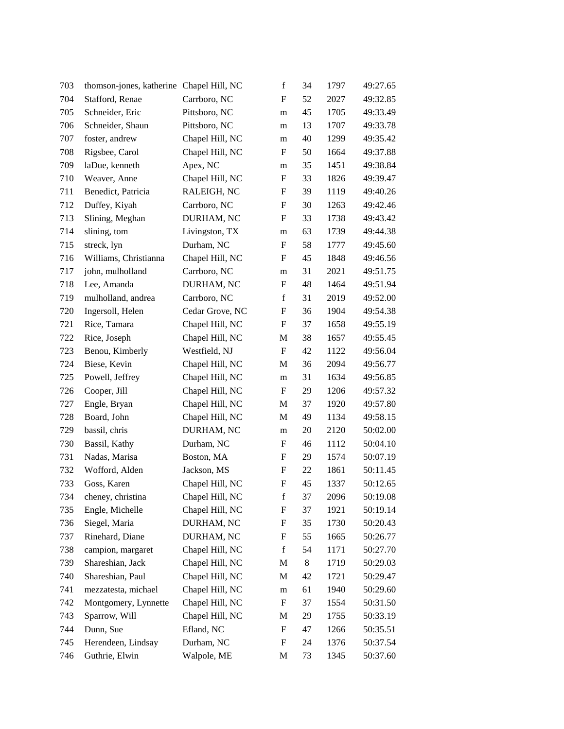| 703 | thomson-jones, katherine Chapel Hill, NC |                 | $\mathbf f$               | 34 | 1797 | 49:27.65 |
|-----|------------------------------------------|-----------------|---------------------------|----|------|----------|
| 704 | Stafford, Renae                          | Carrboro, NC    | F                         | 52 | 2027 | 49:32.85 |
| 705 | Schneider, Eric                          | Pittsboro, NC   | m                         | 45 | 1705 | 49:33.49 |
| 706 | Schneider, Shaun                         | Pittsboro, NC   | m                         | 13 | 1707 | 49:33.78 |
| 707 | foster, andrew                           | Chapel Hill, NC | m                         | 40 | 1299 | 49:35.42 |
| 708 | Rigsbee, Carol                           | Chapel Hill, NC | F                         | 50 | 1664 | 49:37.88 |
| 709 | laDue, kenneth                           | Apex, NC        | m                         | 35 | 1451 | 49:38.84 |
| 710 | Weaver, Anne                             | Chapel Hill, NC | $\boldsymbol{\mathrm{F}}$ | 33 | 1826 | 49:39.47 |
| 711 | Benedict, Patricia                       | RALEIGH, NC     | $\boldsymbol{\mathrm{F}}$ | 39 | 1119 | 49:40.26 |
| 712 | Duffey, Kiyah                            | Carrboro, NC    | $\boldsymbol{\mathrm{F}}$ | 30 | 1263 | 49:42.46 |
| 713 | Slining, Meghan                          | DURHAM, NC      | F                         | 33 | 1738 | 49:43.42 |
| 714 | slining, tom                             | Livingston, TX  | m                         | 63 | 1739 | 49:44.38 |
| 715 | streck, lyn                              | Durham, NC      | $\boldsymbol{\mathrm{F}}$ | 58 | 1777 | 49:45.60 |
| 716 | Williams, Christianna                    | Chapel Hill, NC | F                         | 45 | 1848 | 49:46.56 |
| 717 | john, mulholland                         | Carrboro, NC    | m                         | 31 | 2021 | 49:51.75 |
| 718 | Lee, Amanda                              | DURHAM, NC      | F                         | 48 | 1464 | 49:51.94 |
| 719 | mulholland, andrea                       | Carrboro, NC    | $\mathbf f$               | 31 | 2019 | 49:52.00 |
| 720 | Ingersoll, Helen                         | Cedar Grove, NC | $\boldsymbol{\mathrm{F}}$ | 36 | 1904 | 49:54.38 |
| 721 | Rice, Tamara                             | Chapel Hill, NC | F                         | 37 | 1658 | 49:55.19 |
| 722 | Rice, Joseph                             | Chapel Hill, NC | M                         | 38 | 1657 | 49:55.45 |
| 723 | Benou, Kimberly                          | Westfield, NJ   | $\boldsymbol{\mathrm{F}}$ | 42 | 1122 | 49:56.04 |
| 724 | Biese, Kevin                             | Chapel Hill, NC | M                         | 36 | 2094 | 49:56.77 |
| 725 | Powell, Jeffrey                          | Chapel Hill, NC | m                         | 31 | 1634 | 49:56.85 |
| 726 | Cooper, Jill                             | Chapel Hill, NC | F                         | 29 | 1206 | 49:57.32 |
| 727 | Engle, Bryan                             | Chapel Hill, NC | M                         | 37 | 1920 | 49:57.80 |
| 728 | Board, John                              | Chapel Hill, NC | M                         | 49 | 1134 | 49:58.15 |
| 729 | bassil, chris                            | DURHAM, NC      | m                         | 20 | 2120 | 50:02.00 |
| 730 | Bassil, Kathy                            | Durham, NC      | $\boldsymbol{\mathrm{F}}$ | 46 | 1112 | 50:04.10 |
| 731 | Nadas, Marisa                            | Boston, MA      | $\boldsymbol{\mathrm{F}}$ | 29 | 1574 | 50:07.19 |
| 732 | Wofford, Alden                           | Jackson, MS     | $\boldsymbol{\mathrm{F}}$ | 22 | 1861 | 50:11.45 |
| 733 | Goss, Karen                              | Chapel Hill, NC | $\boldsymbol{\mathrm{F}}$ | 45 | 1337 | 50:12.65 |
| 734 | cheney, christina                        | Chapel Hill, NC | f                         | 37 | 2096 | 50:19.08 |
| 735 | Engle, Michelle                          | Chapel Hill, NC | F                         | 37 | 1921 | 50:19.14 |
| 736 | Siegel, Maria                            | DURHAM, NC      | ${\rm F}$                 | 35 | 1730 | 50:20.43 |
| 737 | Rinehard, Diane                          | DURHAM, NC      | ${\rm F}$                 | 55 | 1665 | 50:26.77 |
| 738 | campion, margaret                        | Chapel Hill, NC | $\mathbf f$               | 54 | 1171 | 50:27.70 |
| 739 | Shareshian, Jack                         | Chapel Hill, NC | M                         | 8  | 1719 | 50:29.03 |
| 740 | Shareshian, Paul                         | Chapel Hill, NC | M                         | 42 | 1721 | 50:29.47 |
| 741 | mezzatesta, michael                      | Chapel Hill, NC | m                         | 61 | 1940 | 50:29.60 |
| 742 | Montgomery, Lynnette                     | Chapel Hill, NC | F                         | 37 | 1554 | 50:31.50 |
| 743 | Sparrow, Will                            | Chapel Hill, NC | M                         | 29 | 1755 | 50:33.19 |
| 744 | Dunn, Sue                                | Efland, NC      | $\boldsymbol{\mathrm{F}}$ | 47 | 1266 | 50:35.51 |
| 745 | Herendeen, Lindsay                       | Durham, NC      | $\boldsymbol{\mathrm{F}}$ | 24 | 1376 | 50:37.54 |
| 746 | Guthrie, Elwin                           | Walpole, ME     | M                         | 73 | 1345 | 50:37.60 |
|     |                                          |                 |                           |    |      |          |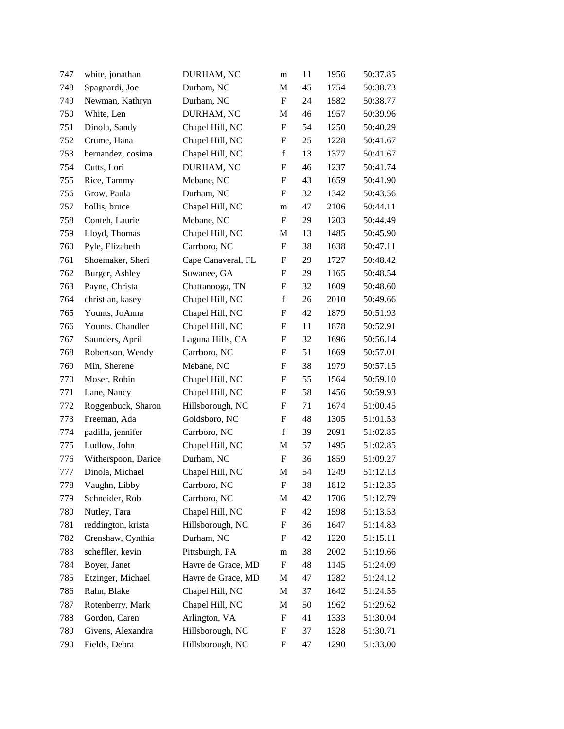| 747 | white, jonathan     | DURHAM, NC         | m                         | 11 | 1956 | 50:37.85 |
|-----|---------------------|--------------------|---------------------------|----|------|----------|
| 748 | Spagnardi, Joe      | Durham, NC         | M                         | 45 | 1754 | 50:38.73 |
| 749 | Newman, Kathryn     | Durham, NC         | $\mathbf F$               | 24 | 1582 | 50:38.77 |
| 750 | White, Len          | DURHAM, NC         | M                         | 46 | 1957 | 50:39.96 |
| 751 | Dinola, Sandy       | Chapel Hill, NC    | $\boldsymbol{\mathrm{F}}$ | 54 | 1250 | 50:40.29 |
| 752 | Crume, Hana         | Chapel Hill, NC    | $\boldsymbol{\mathrm{F}}$ | 25 | 1228 | 50:41.67 |
| 753 | hernandez, cosima   | Chapel Hill, NC    | $\mathbf f$               | 13 | 1377 | 50:41.67 |
| 754 | Cutts, Lori         | DURHAM, NC         | $\boldsymbol{\mathrm{F}}$ | 46 | 1237 | 50:41.74 |
| 755 | Rice, Tammy         | Mebane, NC         | F                         | 43 | 1659 | 50:41.90 |
| 756 | Grow, Paula         | Durham, NC         | F                         | 32 | 1342 | 50:43.56 |
| 757 | hollis, bruce       | Chapel Hill, NC    | m                         | 47 | 2106 | 50:44.11 |
| 758 | Conteh, Laurie      | Mebane, NC         | F                         | 29 | 1203 | 50:44.49 |
| 759 | Lloyd, Thomas       | Chapel Hill, NC    | M                         | 13 | 1485 | 50:45.90 |
| 760 | Pyle, Elizabeth     | Carrboro, NC       | F                         | 38 | 1638 | 50:47.11 |
| 761 | Shoemaker, Sheri    | Cape Canaveral, FL | $\boldsymbol{\mathrm{F}}$ | 29 | 1727 | 50:48.42 |
| 762 | Burger, Ashley      | Suwanee, GA        | $\boldsymbol{\mathrm{F}}$ | 29 | 1165 | 50:48.54 |
| 763 | Payne, Christa      | Chattanooga, TN    | F                         | 32 | 1609 | 50:48.60 |
| 764 | christian, kasey    | Chapel Hill, NC    | $\mathbf f$               | 26 | 2010 | 50:49.66 |
| 765 | Younts, JoAnna      | Chapel Hill, NC    | ${\rm F}$                 | 42 | 1879 | 50:51.93 |
| 766 | Younts, Chandler    | Chapel Hill, NC    | $\boldsymbol{\mathrm{F}}$ | 11 | 1878 | 50:52.91 |
| 767 | Saunders, April     | Laguna Hills, CA   | ${\bf F}$                 | 32 | 1696 | 50:56.14 |
| 768 | Robertson, Wendy    | Carrboro, NC       | F                         | 51 | 1669 | 50:57.01 |
| 769 | Min, Sherene        | Mebane, NC         | $\boldsymbol{\mathrm{F}}$ | 38 | 1979 | 50:57.15 |
| 770 | Moser, Robin        | Chapel Hill, NC    | $\boldsymbol{\mathrm{F}}$ | 55 | 1564 | 50:59.10 |
| 771 | Lane, Nancy         | Chapel Hill, NC    | $\boldsymbol{\mathrm{F}}$ | 58 | 1456 | 50:59.93 |
| 772 | Roggenbuck, Sharon  | Hillsborough, NC   | $\boldsymbol{\mathrm{F}}$ | 71 | 1674 | 51:00.45 |
| 773 | Freeman, Ada        | Goldsboro, NC      | F                         | 48 | 1305 | 51:01.53 |
| 774 | padilla, jennifer   | Carrboro, NC       | $\mathbf f$               | 39 | 2091 | 51:02.85 |
| 775 | Ludlow, John        | Chapel Hill, NC    | M                         | 57 | 1495 | 51:02.85 |
| 776 | Witherspoon, Darice | Durham, NC         | $\boldsymbol{\mathrm{F}}$ | 36 | 1859 | 51:09.27 |
| 777 | Dinola, Michael     | Chapel Hill, NC    | M                         | 54 | 1249 | 51:12.13 |
| 778 | Vaughn, Libby       | Carrboro, NC       | F                         | 38 | 1812 | 51:12.35 |
| 779 | Schneider, Rob      | Carrboro, NC       | M                         | 42 | 1706 | 51:12.79 |
| 780 | Nutley, Tara        | Chapel Hill, NC    | ${\rm F}$                 | 42 | 1598 | 51:13.53 |
| 781 | reddington, krista  | Hillsborough, NC   | F                         | 36 | 1647 | 51:14.83 |
| 782 | Crenshaw, Cynthia   | Durham, NC         | $\boldsymbol{\mathrm{F}}$ | 42 | 1220 | 51:15.11 |
| 783 | scheffler, kevin    | Pittsburgh, PA     | m                         | 38 | 2002 | 51:19.66 |
| 784 | Boyer, Janet        | Havre de Grace, MD | $\boldsymbol{\mathrm{F}}$ | 48 | 1145 | 51:24.09 |
| 785 | Etzinger, Michael   | Havre de Grace, MD | M                         | 47 | 1282 | 51:24.12 |
| 786 | Rahn, Blake         | Chapel Hill, NC    | M                         | 37 | 1642 | 51:24.55 |
| 787 | Rotenberry, Mark    | Chapel Hill, NC    | M                         | 50 | 1962 | 51:29.62 |
| 788 | Gordon, Caren       | Arlington, VA      | $\boldsymbol{\mathrm{F}}$ | 41 | 1333 | 51:30.04 |
| 789 | Givens, Alexandra   | Hillsborough, NC   | ${\bf F}$                 | 37 | 1328 | 51:30.71 |
| 790 | Fields, Debra       | Hillsborough, NC   | ${\rm F}$                 | 47 | 1290 | 51:33.00 |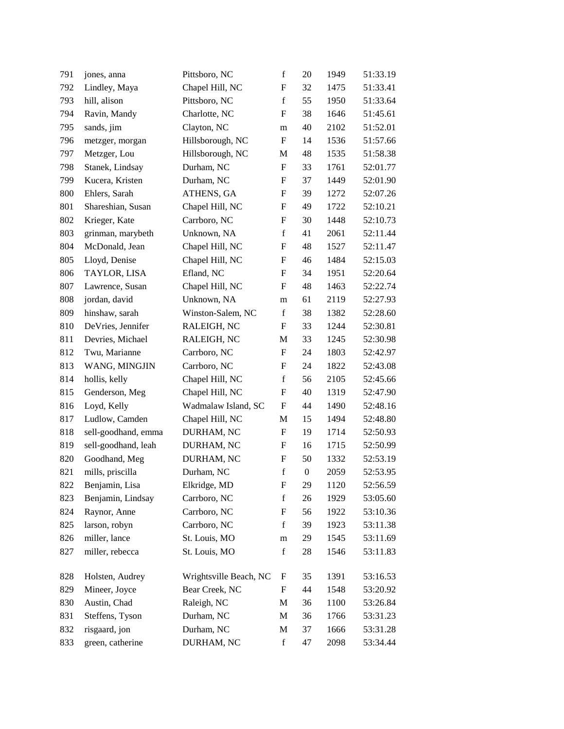| 791 | jones, anna         | Pittsboro, NC          | $\mathbf f$               | 20               | 1949 | 51:33.19 |
|-----|---------------------|------------------------|---------------------------|------------------|------|----------|
| 792 | Lindley, Maya       | Chapel Hill, NC        | F                         | 32               | 1475 | 51:33.41 |
| 793 | hill, alison        | Pittsboro, NC          | $\mathbf f$               | 55               | 1950 | 51:33.64 |
| 794 | Ravin, Mandy        | Charlotte, NC          | F                         | 38               | 1646 | 51:45.61 |
| 795 | sands, jim          | Clayton, NC            | m                         | 40               | 2102 | 51:52.01 |
| 796 | metzger, morgan     | Hillsborough, NC       | $\boldsymbol{\mathrm{F}}$ | 14               | 1536 | 51:57.66 |
| 797 | Metzger, Lou        | Hillsborough, NC       | M                         | 48               | 1535 | 51:58.38 |
| 798 | Stanek, Lindsay     | Durham, NC             | ${\rm F}$                 | 33               | 1761 | 52:01.77 |
| 799 | Kucera, Kristen     | Durham, NC             | F                         | 37               | 1449 | 52:01.90 |
| 800 | Ehlers, Sarah       | ATHENS, GA             | F                         | 39               | 1272 | 52:07.26 |
| 801 | Shareshian, Susan   | Chapel Hill, NC        | $\boldsymbol{\mathrm{F}}$ | 49               | 1722 | 52:10.21 |
| 802 | Krieger, Kate       | Carrboro, NC           | F                         | 30               | 1448 | 52:10.73 |
| 803 | grinman, marybeth   | Unknown, NA            | $\mathbf f$               | 41               | 2061 | 52:11.44 |
| 804 | McDonald, Jean      | Chapel Hill, NC        | F                         | 48               | 1527 | 52:11.47 |
| 805 | Lloyd, Denise       | Chapel Hill, NC        | ${\rm F}$                 | 46               | 1484 | 52:15.03 |
| 806 | TAYLOR, LISA        | Efland, NC             | ${\rm F}$                 | 34               | 1951 | 52:20.64 |
| 807 | Lawrence, Susan     | Chapel Hill, NC        | F                         | 48               | 1463 | 52:22.74 |
| 808 | jordan, david       | Unknown, NA            | m                         | 61               | 2119 | 52:27.93 |
| 809 | hinshaw, sarah      | Winston-Salem, NC      | $\mathbf f$               | 38               | 1382 | 52:28.60 |
| 810 | DeVries, Jennifer   | RALEIGH, NC            | F                         | 33               | 1244 | 52:30.81 |
| 811 | Devries, Michael    | RALEIGH, NC            | M                         | 33               | 1245 | 52:30.98 |
| 812 | Twu, Marianne       | Carrboro, NC           | F                         | 24               | 1803 | 52:42.97 |
| 813 | WANG, MINGJIN       | Carrboro, NC           | ${\rm F}$                 | 24               | 1822 | 52:43.08 |
| 814 | hollis, kelly       | Chapel Hill, NC        | $\mathbf f$               | 56               | 2105 | 52:45.66 |
| 815 | Genderson, Meg      | Chapel Hill, NC        | ${\rm F}$                 | 40               | 1319 | 52:47.90 |
| 816 | Loyd, Kelly         | Wadmalaw Island, SC    | F                         | 44               | 1490 | 52:48.16 |
| 817 | Ludlow, Camden      | Chapel Hill, NC        | M                         | 15               | 1494 | 52:48.80 |
| 818 | sell-goodhand, emma | DURHAM, NC             | ${\rm F}$                 | 19               | 1714 | 52:50.93 |
| 819 | sell-goodhand, leah | DURHAM, NC             | ${\rm F}$                 | 16               | 1715 | 52:50.99 |
| 820 | Goodhand, Meg       | DURHAM, NC             | ${\rm F}$                 | 50               | 1332 | 52:53.19 |
| 821 | mills, priscilla    | Durham, NC             | $\mathbf f$               | $\boldsymbol{0}$ | 2059 | 52:53.95 |
| 822 | Benjamin, Lisa      | Elkridge, MD           | F                         | 29               | 1120 | 52:56.59 |
| 823 | Benjamin, Lindsay   | Carrboro, NC           | $\mathbf f$               | 26               | 1929 | 53:05.60 |
| 824 | Raynor, Anne        | Carrboro, NC           | ${\rm F}$                 | 56               | 1922 | 53:10.36 |
| 825 | larson, robyn       | Carrboro, NC           | $\mathbf f$               | 39               | 1923 | 53:11.38 |
| 826 | miller, lance       | St. Louis, MO          | m                         | 29               | 1545 | 53:11.69 |
| 827 | miller, rebecca     | St. Louis, MO          | $\mathbf f$               | 28               | 1546 | 53:11.83 |
| 828 | Holsten, Audrey     | Wrightsville Beach, NC | F                         | 35               | 1391 | 53:16.53 |
| 829 | Mineer, Joyce       | Bear Creek, NC         | F                         | 44               | 1548 | 53:20.92 |
| 830 | Austin, Chad        | Raleigh, NC            | M                         | 36               | 1100 | 53:26.84 |
| 831 | Steffens, Tyson     | Durham, NC             | M                         | 36               | 1766 | 53:31.23 |
| 832 | risgaard, jon       | Durham, NC             | M                         | 37               | 1666 | 53:31.28 |
| 833 | green, catherine    | DURHAM, NC             | $\mathbf f$               | 47               | 2098 | 53:34.44 |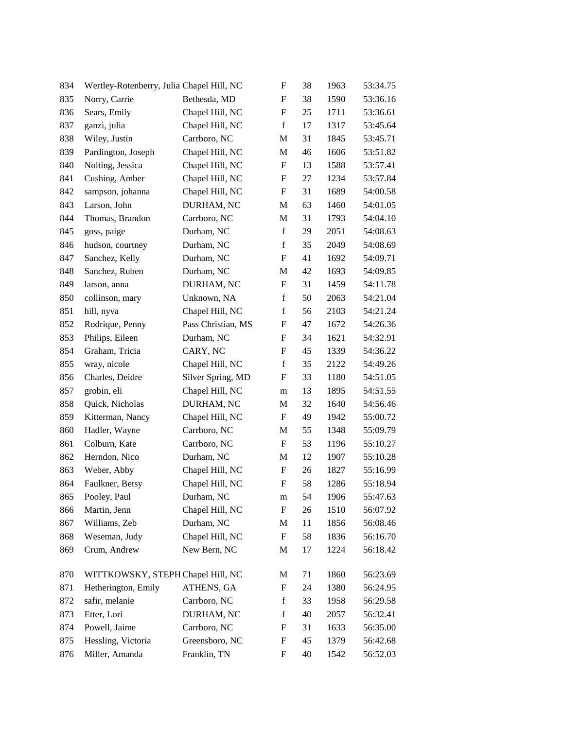| 834 | Wertley-Rotenberry, Julia Chapel Hill, NC |                    | ${\rm F}$                 | 38 | 1963 | 53:34.75 |
|-----|-------------------------------------------|--------------------|---------------------------|----|------|----------|
| 835 | Norry, Carrie                             | Bethesda, MD       | ${\bf F}$                 | 38 | 1590 | 53:36.16 |
| 836 | Sears, Emily                              | Chapel Hill, NC    | ${\bf F}$                 | 25 | 1711 | 53:36.61 |
| 837 | ganzi, julia                              | Chapel Hill, NC    | $\mathbf f$               | 17 | 1317 | 53:45.64 |
| 838 | Wiley, Justin                             | Carrboro, NC       | M                         | 31 | 1845 | 53:45.71 |
| 839 | Pardington, Joseph                        | Chapel Hill, NC    | M                         | 46 | 1606 | 53:51.82 |
| 840 | Nolting, Jessica                          | Chapel Hill, NC    | ${\rm F}$                 | 13 | 1588 | 53:57.41 |
| 841 | Cushing, Amber                            | Chapel Hill, NC    | ${\bf F}$                 | 27 | 1234 | 53:57.84 |
| 842 | sampson, johanna                          | Chapel Hill, NC    | F                         | 31 | 1689 | 54:00.58 |
| 843 | Larson, John                              | DURHAM, NC         | M                         | 63 | 1460 | 54:01.05 |
| 844 | Thomas, Brandon                           | Carrboro, NC       | M                         | 31 | 1793 | 54:04.10 |
| 845 | goss, paige                               | Durham, NC         | $\mathbf f$               | 29 | 2051 | 54:08.63 |
| 846 | hudson, courtney                          | Durham, NC         | $\mathbf f$               | 35 | 2049 | 54:08.69 |
| 847 | Sanchez, Kelly                            | Durham, NC         | ${\bf F}$                 | 41 | 1692 | 54:09.71 |
| 848 | Sanchez, Ruben                            | Durham, NC         | M                         | 42 | 1693 | 54:09.85 |
| 849 | larson, anna                              | DURHAM, NC         | ${\rm F}$                 | 31 | 1459 | 54:11.78 |
| 850 | collinson, mary                           | Unknown, NA        | $\mathbf f$               | 50 | 2063 | 54:21.04 |
| 851 | hill, nyva                                | Chapel Hill, NC    | $\mathbf f$               | 56 | 2103 | 54:21.24 |
| 852 | Rodrique, Penny                           | Pass Christian, MS | F                         | 47 | 1672 | 54:26.36 |
| 853 | Philips, Eileen                           | Durham, NC         | F                         | 34 | 1621 | 54:32.91 |
| 854 | Graham, Tricia                            | CARY, NC           | ${\bf F}$                 | 45 | 1339 | 54:36.22 |
| 855 | wray, nicole                              | Chapel Hill, NC    | $\mathbf f$               | 35 | 2122 | 54:49.26 |
| 856 | Charles, Deidre                           | Silver Spring, MD  | ${\bf F}$                 | 33 | 1180 | 54:51.05 |
| 857 | grobin, eli                               | Chapel Hill, NC    | m                         | 13 | 1895 | 54:51.55 |
| 858 | Quick, Nicholas                           | DURHAM, NC         | M                         | 32 | 1640 | 54:56.46 |
| 859 | Kitterman, Nancy                          | Chapel Hill, NC    | ${\rm F}$                 | 49 | 1942 | 55:00.72 |
| 860 | Hadler, Wayne                             | Carrboro, NC       | M                         | 55 | 1348 | 55:09.79 |
| 861 | Colburn, Kate                             | Carrboro, NC       | ${\bf F}$                 | 53 | 1196 | 55:10.27 |
| 862 | Herndon, Nico                             | Durham, NC         | M                         | 12 | 1907 | 55:10.28 |
| 863 | Weber, Abby                               | Chapel Hill, NC    | ${\rm F}$                 | 26 | 1827 | 55:16.99 |
| 864 | Faulkner, Betsy                           | Chapel Hill, NC    | ${\bf F}$                 | 58 | 1286 | 55:18.94 |
| 865 | Pooley, Paul                              | Durham, NC         | ${\bf m}$                 | 54 | 1906 | 55:47.63 |
| 866 | Martin, Jenn                              | Chapel Hill, NC    | ${\bf F}$                 | 26 | 1510 | 56:07.92 |
| 867 | Williams, Zeb                             | Durham, NC         | M                         | 11 | 1856 | 56:08.46 |
| 868 | Weseman, Judy                             | Chapel Hill, NC    | $\boldsymbol{\mathrm{F}}$ | 58 | 1836 | 56:16.70 |
| 869 | Crum, Andrew                              | New Bern, NC       | M                         | 17 | 1224 | 56:18.42 |
| 870 | WITTKOWSKY, STEPH Chapel Hill, NC         |                    | M                         | 71 | 1860 | 56:23.69 |
| 871 | Hetherington, Emily                       | ATHENS, GA         | ${\rm F}$                 | 24 | 1380 | 56:24.95 |
| 872 | safir, melanie                            | Carrboro, NC       | $\mathbf f$               | 33 | 1958 | 56:29.58 |
| 873 | Etter, Lori                               | DURHAM, NC         | $\mathbf f$               | 40 | 2057 | 56:32.41 |
| 874 | Powell, Jaime                             | Carrboro, NC       | F                         | 31 | 1633 | 56:35.00 |
| 875 | Hessling, Victoria                        | Greensboro, NC     | ${\rm F}$                 | 45 | 1379 | 56:42.68 |
| 876 | Miller, Amanda                            | Franklin, TN       | ${\rm F}$                 | 40 | 1542 | 56:52.03 |
|     |                                           |                    |                           |    |      |          |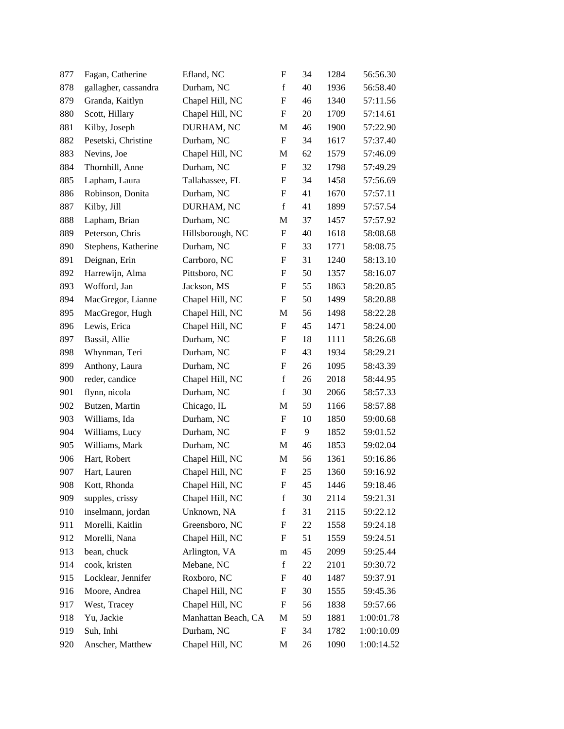| 877 | Fagan, Catherine     | Efland, NC          | ${\rm F}$                 | 34 | 1284 | 56:56.30   |
|-----|----------------------|---------------------|---------------------------|----|------|------------|
| 878 | gallagher, cassandra | Durham, NC          | $\mathbf f$               | 40 | 1936 | 56:58.40   |
| 879 | Granda, Kaitlyn      | Chapel Hill, NC     | $\mathbf F$               | 46 | 1340 | 57:11.56   |
| 880 | Scott, Hillary       | Chapel Hill, NC     | F                         | 20 | 1709 | 57:14.61   |
| 881 | Kilby, Joseph        | DURHAM, NC          | M                         | 46 | 1900 | 57:22.90   |
| 882 | Pesetski, Christine  | Durham, NC          | $\boldsymbol{\mathrm{F}}$ | 34 | 1617 | 57:37.40   |
| 883 | Nevins, Joe          | Chapel Hill, NC     | М                         | 62 | 1579 | 57:46.09   |
| 884 | Thornhill, Anne      | Durham, NC          | $\mathbf F$               | 32 | 1798 | 57:49.29   |
| 885 | Lapham, Laura        | Tallahassee, FL     | F                         | 34 | 1458 | 57:56.69   |
| 886 | Robinson, Donita     | Durham, NC          | F                         | 41 | 1670 | 57:57.11   |
| 887 | Kilby, Jill          | DURHAM, NC          | $\mathbf f$               | 41 | 1899 | 57:57.54   |
| 888 | Lapham, Brian        | Durham, NC          | M                         | 37 | 1457 | 57:57.92   |
| 889 | Peterson, Chris      | Hillsborough, NC    | $\boldsymbol{\mathrm{F}}$ | 40 | 1618 | 58:08.68   |
| 890 | Stephens, Katherine  | Durham, NC          | F                         | 33 | 1771 | 58:08.75   |
| 891 | Deignan, Erin        | Carrboro, NC        | F                         | 31 | 1240 | 58:13.10   |
| 892 | Harrewijn, Alma      | Pittsboro, NC       | ${\rm F}$                 | 50 | 1357 | 58:16.07   |
| 893 | Wofford, Jan         | Jackson, MS         | F                         | 55 | 1863 | 58:20.85   |
| 894 | MacGregor, Lianne    | Chapel Hill, NC     | $\boldsymbol{\mathrm{F}}$ | 50 | 1499 | 58:20.88   |
| 895 | MacGregor, Hugh      | Chapel Hill, NC     | M                         | 56 | 1498 | 58:22.28   |
| 896 | Lewis, Erica         | Chapel Hill, NC     | F                         | 45 | 1471 | 58:24.00   |
| 897 | Bassil, Allie        | Durham, NC          | F                         | 18 | 1111 | 58:26.68   |
| 898 | Whynman, Teri        | Durham, NC          | F                         | 43 | 1934 | 58:29.21   |
| 899 | Anthony, Laura       | Durham, NC          | ${\rm F}$                 | 26 | 1095 | 58:43.39   |
| 900 | reder, candice       | Chapel Hill, NC     | $\mathbf f$               | 26 | 2018 | 58:44.95   |
| 901 | flynn, nicola        | Durham, NC          | $\mathbf f$               | 30 | 2066 | 58:57.33   |
| 902 | Butzen, Martin       | Chicago, IL         | M                         | 59 | 1166 | 58:57.88   |
| 903 | Williams, Ida        | Durham, NC          | F                         | 10 | 1850 | 59:00.68   |
| 904 | Williams, Lucy       | Durham, NC          | $\boldsymbol{\mathrm{F}}$ | 9  | 1852 | 59:01.52   |
| 905 | Williams, Mark       | Durham, NC          | M                         | 46 | 1853 | 59:02.04   |
| 906 | Hart, Robert         | Chapel Hill, NC     | M                         | 56 | 1361 | 59:16.86   |
| 907 | Hart, Lauren         | Chapel Hill, NC     | $\mathbf F$               | 25 | 1360 | 59:16.92   |
| 908 | Kott, Rhonda         | Chapel Hill, NC     | F                         | 45 | 1446 | 59:18.46   |
| 909 | supples, crissy      | Chapel Hill, NC     | $\mathbf f$               | 30 | 2114 | 59:21.31   |
| 910 | inselmann, jordan    | Unknown, NA         | $\mathbf f$               | 31 | 2115 | 59:22.12   |
| 911 | Morelli, Kaitlin     | Greensboro, NC      | F                         | 22 | 1558 | 59:24.18   |
| 912 | Morelli, Nana        | Chapel Hill, NC     | F                         | 51 | 1559 | 59:24.51   |
| 913 | bean, chuck          | Arlington, VA       | m                         | 45 | 2099 | 59:25.44   |
| 914 | cook, kristen        | Mebane, NC          | $\mathbf f$               | 22 | 2101 | 59:30.72   |
| 915 | Locklear, Jennifer   | Roxboro, NC         | F                         | 40 | 1487 | 59:37.91   |
| 916 | Moore, Andrea        | Chapel Hill, NC     | F                         | 30 | 1555 | 59:45.36   |
| 917 | West, Tracey         | Chapel Hill, NC     | F                         | 56 | 1838 | 59:57.66   |
| 918 | Yu, Jackie           | Manhattan Beach, CA | M                         | 59 | 1881 | 1:00:01.78 |
| 919 | Suh, Inhi            | Durham, NC          | F                         | 34 | 1782 | 1:00:10.09 |
| 920 | Anscher, Matthew     | Chapel Hill, NC     | M                         | 26 | 1090 | 1:00:14.52 |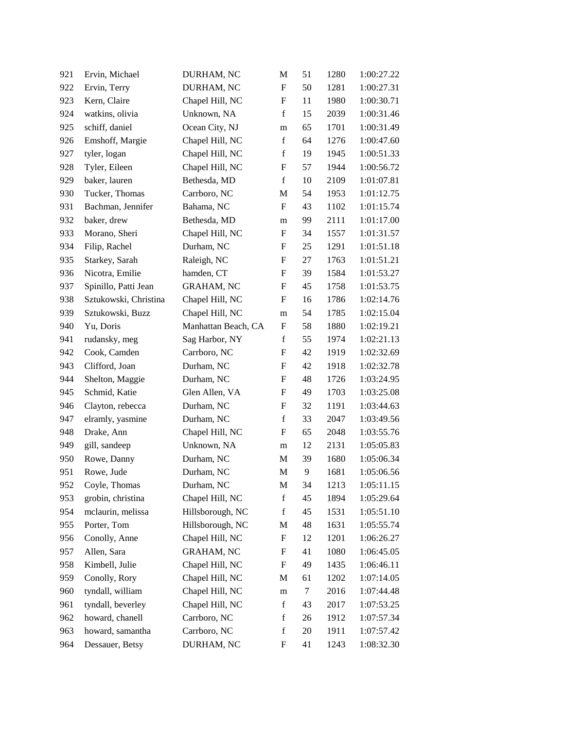| 921 | Ervin, Michael        | DURHAM, NC          | M                | 51     | 1280 | 1:00:27.22 |
|-----|-----------------------|---------------------|------------------|--------|------|------------|
| 922 | Ervin, Terry          | DURHAM, NC          | F                | 50     | 1281 | 1:00:27.31 |
| 923 | Kern, Claire          | Chapel Hill, NC     | $\mathbf F$      | 11     | 1980 | 1:00:30.71 |
| 924 | watkins, olivia       | Unknown, NA         | $\mathbf f$      | 15     | 2039 | 1:00:31.46 |
| 925 | schiff, daniel        | Ocean City, NJ      | m                | 65     | 1701 | 1:00:31.49 |
| 926 | Emshoff, Margie       | Chapel Hill, NC     | $\mathbf f$      | 64     | 1276 | 1:00:47.60 |
| 927 | tyler, logan          | Chapel Hill, NC     | $\mathbf f$      | 19     | 1945 | 1:00:51.33 |
| 928 | Tyler, Eileen         | Chapel Hill, NC     | $\boldsymbol{F}$ | 57     | 1944 | 1:00:56.72 |
| 929 | baker, lauren         | Bethesda, MD        | $\mathbf f$      | 10     | 2109 | 1:01:07.81 |
| 930 | Tucker, Thomas        | Carrboro, NC        | M                | 54     | 1953 | 1:01:12.75 |
| 931 | Bachman, Jennifer     | Bahama, NC          | $\mathbf F$      | 43     | 1102 | 1:01:15.74 |
| 932 | baker, drew           | Bethesda, MD        | m                | 99     | 2111 | 1:01:17.00 |
| 933 | Morano, Sheri         | Chapel Hill, NC     | $\mathbf F$      | 34     | 1557 | 1:01:31.57 |
| 934 | Filip, Rachel         | Durham, NC          | F                | 25     | 1291 | 1:01:51.18 |
| 935 | Starkey, Sarah        | Raleigh, NC         | F                | 27     | 1763 | 1:01:51.21 |
| 936 | Nicotra, Emilie       | hamden, CT          | ${\rm F}$        | 39     | 1584 | 1:01:53.27 |
| 937 | Spinillo, Patti Jean  | <b>GRAHAM, NC</b>   | F                | 45     | 1758 | 1:01:53.75 |
| 938 | Sztukowski, Christina | Chapel Hill, NC     | F                | 16     | 1786 | 1:02:14.76 |
| 939 | Sztukowski, Buzz      | Chapel Hill, NC     | m                | 54     | 1785 | 1:02:15.04 |
| 940 | Yu, Doris             | Manhattan Beach, CA | F                | 58     | 1880 | 1:02:19.21 |
| 941 | rudansky, meg         | Sag Harbor, NY      | $\mathbf f$      | 55     | 1974 | 1:02:21.13 |
| 942 | Cook, Camden          | Carrboro, NC        | F                | 42     | 1919 | 1:02:32.69 |
| 943 | Clifford, Joan        | Durham, NC          | F                | 42     | 1918 | 1:02:32.78 |
| 944 | Shelton, Maggie       | Durham, NC          | F                | 48     | 1726 | 1:03:24.95 |
| 945 | Schmid, Katie         | Glen Allen, VA      | F                | 49     | 1703 | 1:03:25.08 |
| 946 | Clayton, rebecca      | Durham, NC          | ${\rm F}$        | 32     | 1191 | 1:03:44.63 |
| 947 | elramly, yasmine      | Durham, NC          | $\mathbf f$      | 33     | 2047 | 1:03:49.56 |
| 948 | Drake, Ann            | Chapel Hill, NC     | ${\rm F}$        | 65     | 2048 | 1:03:55.76 |
| 949 | gill, sandeep         | Unknown, NA         | m                | 12     | 2131 | 1:05:05.83 |
| 950 | Rowe, Danny           | Durham, NC          | M                | 39     | 1680 | 1:05:06.34 |
| 951 | Rowe, Jude            | Durham, NC          | M                | 9      | 1681 | 1:05:06.56 |
| 952 | Coyle, Thomas         | Durham, NC          | М                | 34     | 1213 | 1:05:11.15 |
| 953 | grobin, christina     | Chapel Hill, NC     | $\mathbf f$      | 45     | 1894 | 1:05:29.64 |
| 954 | mclaurin, melissa     | Hillsborough, NC    | $\mathbf f$      | 45     | 1531 | 1:05:51.10 |
| 955 | Porter, Tom           | Hillsborough, NC    | M                | 48     | 1631 | 1:05:55.74 |
| 956 | Conolly, Anne         | Chapel Hill, NC     | ${\rm F}$        | 12     | 1201 | 1:06:26.27 |
| 957 | Allen, Sara           | <b>GRAHAM, NC</b>   | F                | 41     | 1080 | 1:06:45.05 |
| 958 | Kimbell, Julie        | Chapel Hill, NC     | F                | 49     | 1435 | 1:06:46.11 |
| 959 | Conolly, Rory         | Chapel Hill, NC     | M                | 61     | 1202 | 1:07:14.05 |
| 960 | tyndall, william      | Chapel Hill, NC     | m                | $\tau$ | 2016 | 1:07:44.48 |
| 961 | tyndall, beverley     | Chapel Hill, NC     | $\mathbf f$      | 43     | 2017 | 1:07:53.25 |
| 962 | howard, chanell       | Carrboro, NC        | $\mathbf f$      | 26     | 1912 | 1:07:57.34 |
| 963 | howard, samantha      | Carrboro, NC        | $\mathbf f$      | 20     | 1911 | 1:07:57.42 |
| 964 | Dessauer, Betsy       | DURHAM, NC          | F                | 41     | 1243 | 1:08:32.30 |